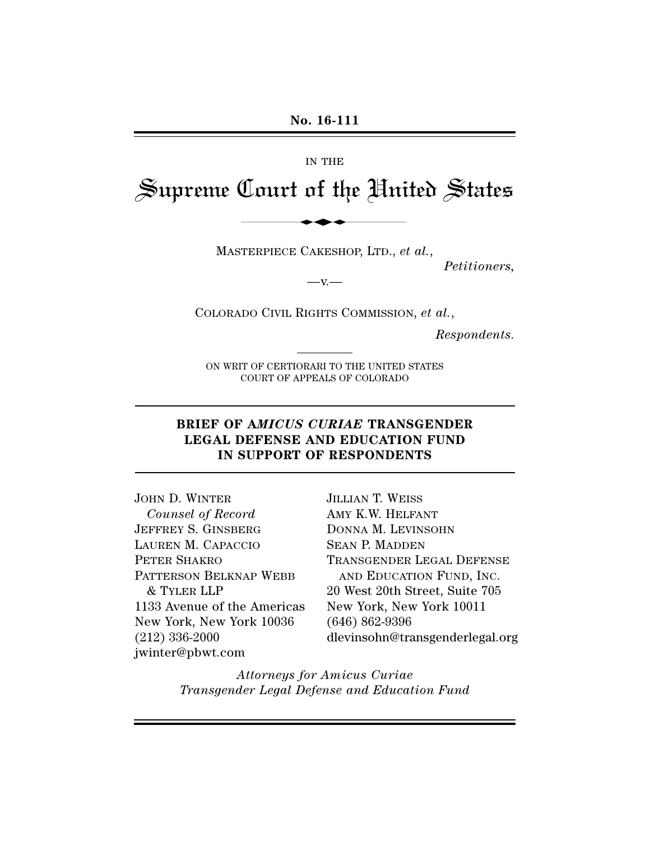#### IN THE

# Supreme Court of the United States No. 16-111<br>IN THE<br>Lourt of the Uni

MASTERPIECE CAKESHOP, LTD., *et al.*,

*Petitioners,*

 $-v-$ 

COLORADO CIVIL RIGHTS COMMISSION, *et al.*,

*Respondents.*

ON WRIT OF CERTIORARI TO THE UNITED STATES COURT OF APPEALS OF COLORADO

#### **BRIEF OF A***MICUS CURIAE* **TRANSGENDER LEGAL DEFENSE AND EDUCATION FUND IN SUPPORT OF RESPONDENTS**

JOHN D. WINTER *Counsel of Record* JEFFREY S. GINSBERG LAUREN M. CAPACCIO PETER SHAKRO PATTERSON BELKNAP WEBB & TYLER LLP 1133 Avenue of the Americas New York, New York 10036 (212) 336-2000 jwinter@pbwt.com

JILLIAN T. WEISS AMY K.W. HELFANT DONNA M. LEVINSOHN SEAN P. MADDEN TRANSGENDER LEGAL DEFENSE AND EDUCATION FUND, INC. 20 West 20th Street, Suite 705 New York, New York 10011 (646) 862-9396 dlevinsohn@transgenderlegal.org

*Attorneys for Amicus Curiae Transgender Legal Defense and Education Fund*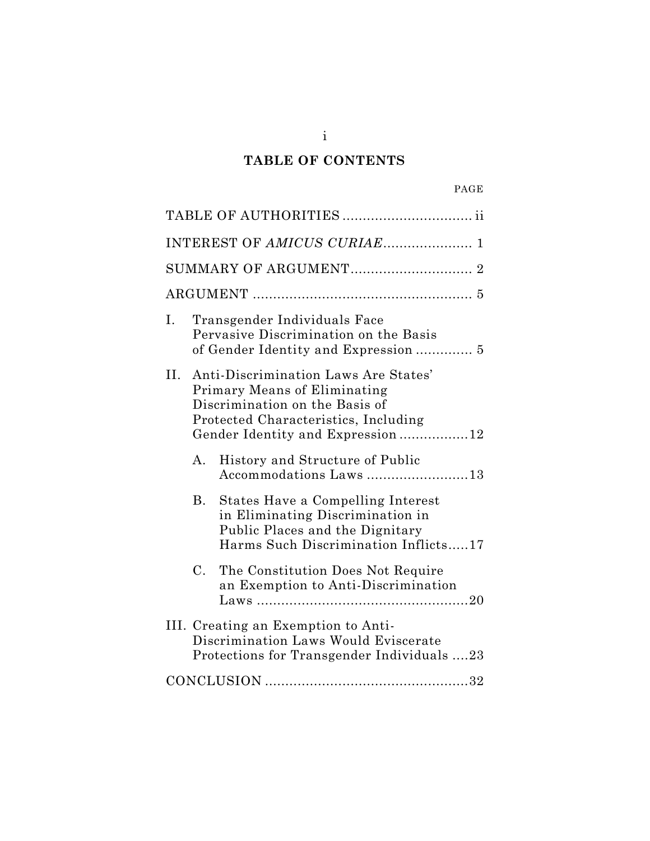# **TABLE OF CONTENTS**

| INTEREST OF AMICUS CURIAE 1                                                                                                                                                            |
|----------------------------------------------------------------------------------------------------------------------------------------------------------------------------------------|
|                                                                                                                                                                                        |
|                                                                                                                                                                                        |
| Transgender Individuals Face<br>Ι.<br>Pervasive Discrimination on the Basis<br>of Gender Identity and Expression  5                                                                    |
| II. Anti-Discrimination Laws Are States'<br>Primary Means of Eliminating<br>Discrimination on the Basis of<br>Protected Characteristics, Including<br>Gender Identity and Expression12 |
| History and Structure of Public<br>А.<br>Accommodations Laws 13                                                                                                                        |
| States Have a Compelling Interest<br>В.<br>in Eliminating Discrimination in<br>Public Places and the Dignitary<br>Harms Such Discrimination Inflicts17                                 |
| $C_{\cdot}$<br>The Constitution Does Not Require<br>an Exemption to Anti-Discrimination                                                                                                |
| III. Creating an Exemption to Anti-<br>Discrimination Laws Would Eviscerate<br>Protections for Transgender Individuals 23                                                              |
|                                                                                                                                                                                        |

i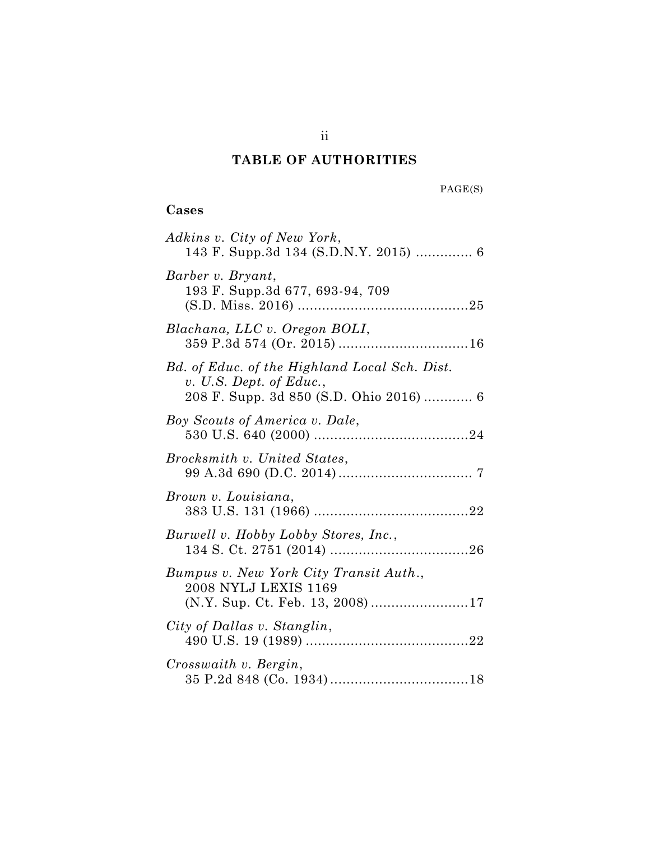## **TABLE OF AUTHORITIES**

### **Cases**

| Adkins v. City of New York,                                                                                         |
|---------------------------------------------------------------------------------------------------------------------|
| Barber v. Bryant,<br>193 F. Supp.3d 677, 693-94, 709                                                                |
| Blachana, LLC v. Oregon BOLI,                                                                                       |
| Bd. of Educ. of the Highland Local Sch. Dist.<br>v. U.S. Dept. of Educ.,<br>208 F. Supp. 3d 850 (S.D. Ohio 2016)  6 |
| Boy Scouts of America v. Dale,                                                                                      |
| Brocksmith v. United States,                                                                                        |
| Brown v. Louisiana,                                                                                                 |
| Burwell v. Hobby Lobby Stores, Inc.,                                                                                |
| Bumpus v. New York City Transit Auth.,<br>2008 NYLJ LEXIS 1169<br>(N.Y. Sup. Ct. Feb. 13, 2008) 17                  |
| City of Dallas v. Stanglin,                                                                                         |
| Crosswaith v. Bergin,                                                                                               |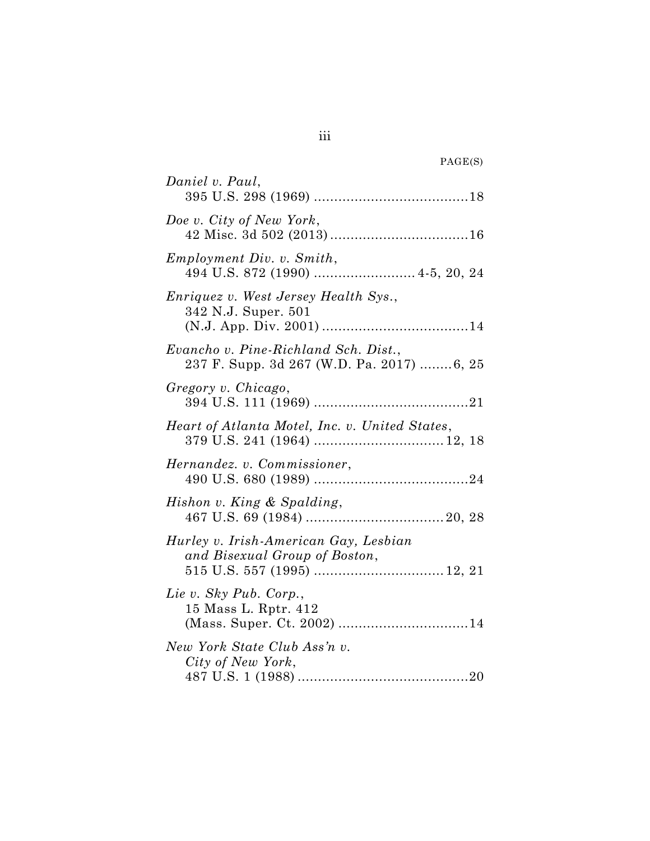| PAGE(S) |  |
|---------|--|
|---------|--|

| Daniel v. Paul,                                                                   |
|-----------------------------------------------------------------------------------|
| Doe v. City of New York,                                                          |
| Employment Div. v. Smith,                                                         |
| <i>Enriquez v. West Jersey Health Sys.,</i><br>342 N.J. Super. 501                |
| Evancho v. Pine-Richland Sch. Dist.,<br>237 F. Supp. 3d 267 (W.D. Pa. 2017) 6, 25 |
| Gregory v. Chicago,                                                               |
| Heart of Atlanta Motel, Inc. v. United States,                                    |
| Hernandez. v. Commissioner,                                                       |
| Hishon v. King & Spalding,                                                        |
| Hurley v. Irish-American Gay, Lesbian<br>and Bisexual Group of Boston,            |
| Lie v. Sky Pub. Corp.,<br>15 Mass L. Rptr. 412                                    |
| New York State Club Ass'n v.<br>City of New York,                                 |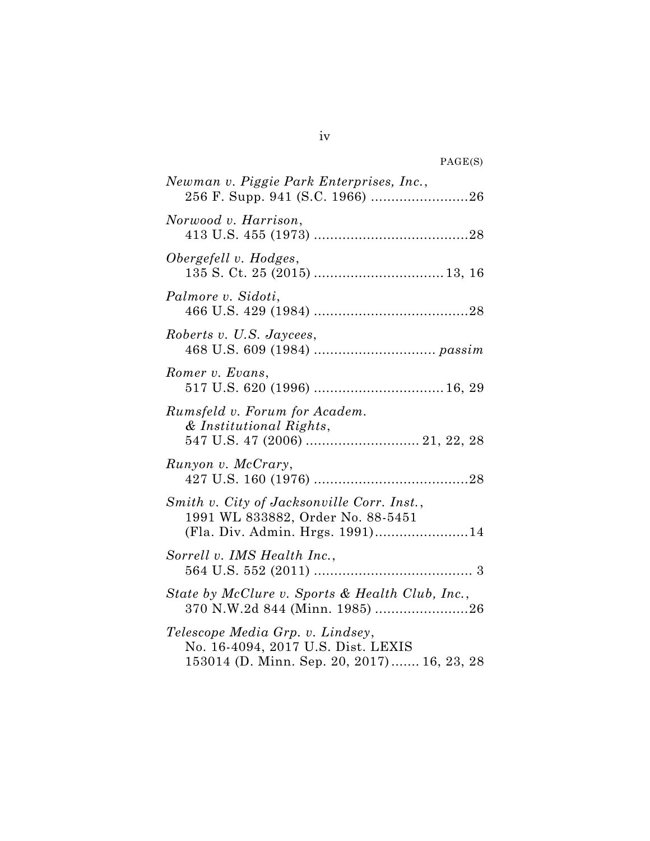| PAGE(S) |  |
|---------|--|
|---------|--|

| Newman v. Piggie Park Enterprises, Inc.,                                                                             |
|----------------------------------------------------------------------------------------------------------------------|
| Norwood v. Harrison,                                                                                                 |
| Obergefell v. Hodges,                                                                                                |
| Palmore v. Sidoti,                                                                                                   |
| Roberts v. U.S. Jaycees,                                                                                             |
| Romer v. Evans,                                                                                                      |
| Rumsfeld v. Forum for Academ.<br>& Institutional Rights,                                                             |
| Runyon v. McCrary,                                                                                                   |
| Smith v. City of Jacksonville Corr. Inst.,<br>1991 WL 833882, Order No. 88-5451<br>(Fla. Div. Admin. Hrgs. 1991)14   |
| Sorrell v. IMS Health Inc.,                                                                                          |
| State by McClure v. Sports & Health Club, Inc.,<br>370 N.W.2d 844 (Minn. 1985) 26                                    |
| Telescope Media Grp. v. Lindsey,<br>No. 16-4094, 2017 U.S. Dist. LEXIS<br>153014 (D. Minn. Sep. 20, 2017) 16, 23, 28 |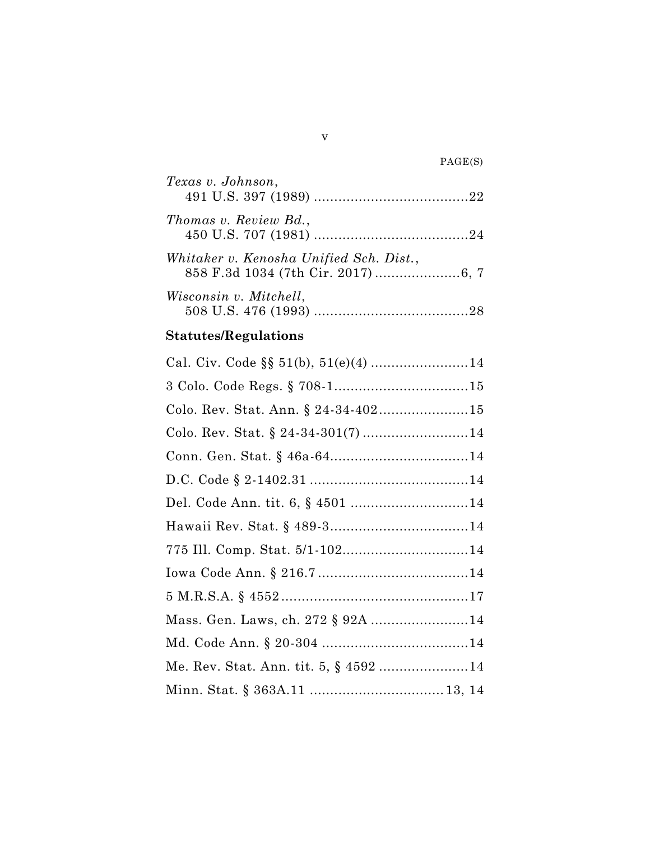| Texas v. Johnson,                       |
|-----------------------------------------|
| Thomas v. Review Bd.,                   |
| Whitaker v. Kenosha Unified Sch. Dist., |
| Wisconsin v. Mitchell,                  |

# **Statutes/Regulations**

| Mass. Gen. Laws, ch. 272 § 92A 14 |
|-----------------------------------|
|                                   |
|                                   |
|                                   |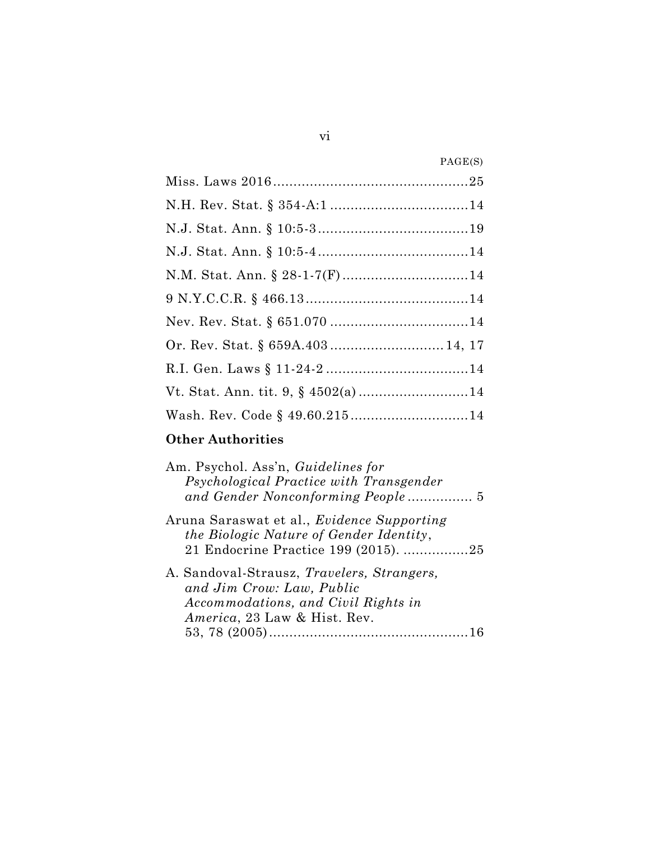| Or. Rev. Stat. § 659A.403 14, 17 |
|----------------------------------|
|                                  |
|                                  |
|                                  |

# **Other Authorities**

| 21 Endocrine Practice 199 (2015). 25 |
|--------------------------------------|
|                                      |
|                                      |
|                                      |
|                                      |
|                                      |
|                                      |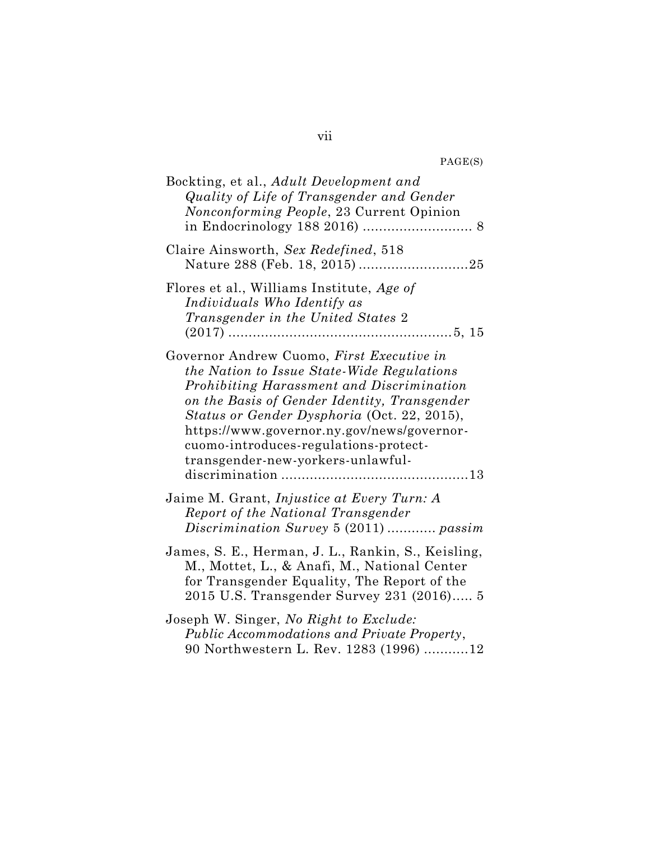| PAGE(S) |  |
|---------|--|
|---------|--|

| Bockting, et al., Adult Development and<br>Quality of Life of Transgender and Gender<br>Nonconforming People, 23 Current Opinion                                                                                                                                                                                                                                |
|-----------------------------------------------------------------------------------------------------------------------------------------------------------------------------------------------------------------------------------------------------------------------------------------------------------------------------------------------------------------|
| Claire Ainsworth, Sex Redefined, 518                                                                                                                                                                                                                                                                                                                            |
| Flores et al., Williams Institute, Age of<br>Individuals Who Identify as<br>Transgender in the United States 2                                                                                                                                                                                                                                                  |
| Governor Andrew Cuomo, First Executive in<br>the Nation to Issue State-Wide Regulations<br>Prohibiting Harassment and Discrimination<br>on the Basis of Gender Identity, Transgender<br>Status or Gender Dysphoria (Oct. 22, 2015),<br>https://www.governor.ny.gov/news/governor-<br>cuomo-introduces-regulations-protect-<br>transgender-new-yorkers-unlawful- |
| Jaime M. Grant, <i>Injustice at Every Turn: A</i><br>Report of the National Transgender                                                                                                                                                                                                                                                                         |
| James, S. E., Herman, J. L., Rankin, S., Keisling,<br>M., Mottet, L., & Anafi, M., National Center<br>for Transgender Equality, The Report of the<br>2015 U.S. Transgender Survey 231 (2016) 5                                                                                                                                                                  |
| Joseph W. Singer, No Right to Exclude:<br>Public Accommodations and Private Property,<br>90 Northwestern L. Rev. 1283 (1996) 12                                                                                                                                                                                                                                 |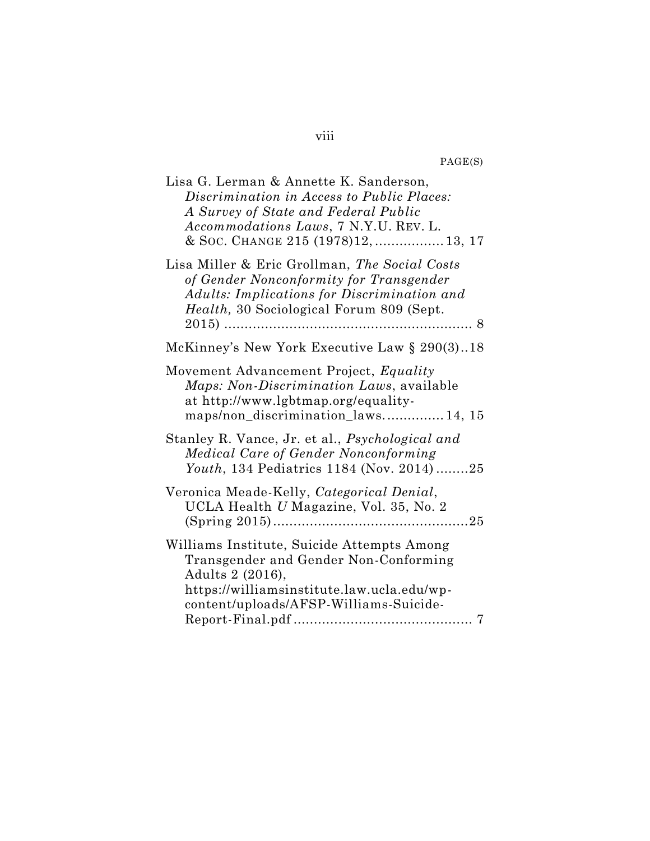PAGE(S)

| Lisa G. Lerman & Annette K. Sanderson,<br>Discrimination in Access to Public Places:<br>A Survey of State and Federal Public<br>Accommodations Laws, 7 N.Y.U. REV. L.<br>& Soc. Change 215 (1978)12,  13, 17 |
|--------------------------------------------------------------------------------------------------------------------------------------------------------------------------------------------------------------|
| Lisa Miller & Eric Grollman, The Social Costs<br>of Gender Nonconformity for Transgender<br>Adults: Implications for Discrimination and<br>Health, 30 Sociological Forum 809 (Sept.<br>$2015)$<br>. 8        |
| McKinney's New York Executive Law § 290(3)18                                                                                                                                                                 |
| Movement Advancement Project, Equality<br><i>Maps: Non-Discrimination Laws, available</i><br>at http://www.lgbtmap.org/equality-<br>maps/non_discrimination_laws 14, 15                                      |
| Stanley R. Vance, Jr. et al., Psychological and<br>Medical Care of Gender Nonconforming<br>Youth, 134 Pediatrics 1184 (Nov. 2014)25                                                                          |
| Veronica Meade-Kelly, Categorical Denial,<br>UCLA Health U Magazine, Vol. 35, No. 2                                                                                                                          |
| Williams Institute, Suicide Attempts Among<br>Transgender and Gender Non-Conforming<br>Adults 2 (2016),<br>https://williamsinstitute.law.ucla.edu/wp-<br>content/uploads/AFSP-Williams-Suicide-              |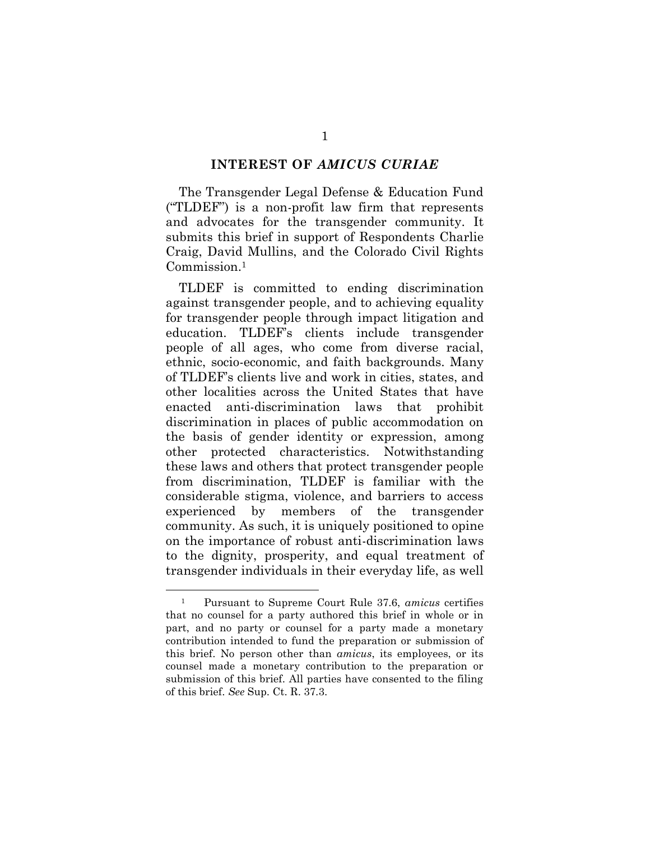#### **INTEREST OF** *AMICUS CURIAE*

<span id="page-9-0"></span>The Transgender Legal Defense & Education Fund ("TLDEF") is a non-profit law firm that represents and advocates for the transgender community. It submits this brief in support of Respondents Charlie Craig, David Mullins, and the Colorado Civil Rights Commission.<sup>1</sup>

TLDEF is committed to ending discrimination against transgender people, and to achieving equality for transgender people through impact litigation and education. TLDEF's clients include transgender people of all ages, who come from diverse racial, ethnic, socio-economic, and faith backgrounds. Many of TLDEF's clients live and work in cities, states, and other localities across the United States that have enacted anti-discrimination laws that prohibit discrimination in places of public accommodation on the basis of gender identity or expression, among other protected characteristics. Notwithstanding these laws and others that protect transgender people from discrimination, TLDEF is familiar with the considerable stigma, violence, and barriers to access experienced by members of the transgender community. As such, it is uniquely positioned to opine on the importance of robust anti-discrimination laws to the dignity, prosperity, and equal treatment of transgender individuals in their everyday life, as well

<sup>1</sup> Pursuant to Supreme Court Rule 37.6, *amicus* certifies that no counsel for a party authored this brief in whole or in part, and no party or counsel for a party made a monetary contribution intended to fund the preparation or submission of this brief. No person other than *amicus*, its employees, or its counsel made a monetary contribution to the preparation or submission of this brief. All parties have consented to the filing of this brief. *See* Sup. Ct. R. 37.3.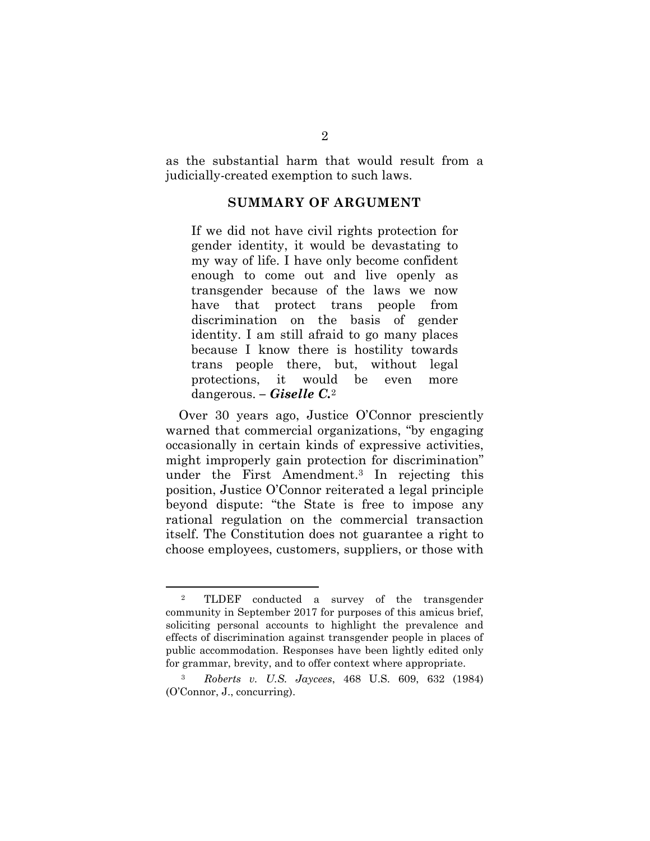<span id="page-10-0"></span>as the substantial harm that would result from a judicially-created exemption to such laws.

#### **SUMMARY OF ARGUMENT**

If we did not have civil rights protection for gender identity, it would be devastating to my way of life. I have only become confident enough to come out and live openly as transgender because of the laws we now have that protect trans people from discrimination on the basis of gender identity. I am still afraid to go many places because I know there is hostility towards trans people there, but, without legal protections, it would be even more dangerous. *– Giselle C.*<sup>2</sup>

Over 30 years ago, Justice O'Connor presciently warned that commercial organizations, "by engaging occasionally in certain kinds of expressive activities, might improperly gain protection for discrimination" under the First Amendment.<sup>3</sup> In rejecting this position, Justice O'Connor reiterated a legal principle beyond dispute: "the State is free to impose any rational regulation on the commercial transaction itself. The Constitution does not guarantee a right to choose employees, customers, suppliers, or those with

<sup>2</sup> TLDEF conducted a survey of the transgender community in September 2017 for purposes of this amicus brief, soliciting personal accounts to highlight the prevalence and effects of discrimination against transgender people in places of public accommodation. Responses have been lightly edited only for grammar, brevity, and to offer context where appropriate.

<span id="page-10-1"></span><sup>3</sup> *Roberts v. U.S. Jaycees*, 468 U.S. 609, 632 (1984) (O'Connor, J., concurring).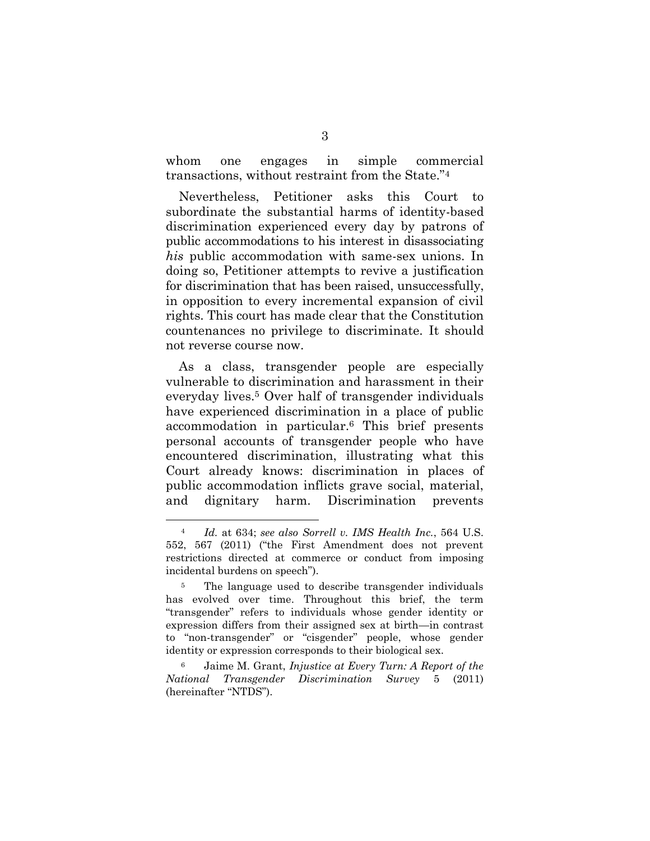whom one engages in simple commercial transactions, without restraint from the State."<sup>4</sup>

Nevertheless, Petitioner asks this Court to subordinate the substantial harms of identity-based discrimination experienced every day by patrons of public accommodations to his interest in disassociating *his* public accommodation with same-sex unions. In doing so, Petitioner attempts to revive a justification for discrimination that has been raised, unsuccessfully, in opposition to every incremental expansion of civil rights. This court has made clear that the Constitution countenances no privilege to discriminate. It should not reverse course now.

As a class, transgender people are especially vulnerable to discrimination and harassment in their everyday lives.<sup>5</sup> Over half of transgender individuals have experienced discrimination in a place of public accommodation in particular.<sup>6</sup> This brief presents personal accounts of transgender people who have encountered discrimination, illustrating what this Court already knows: discrimination in places of public accommodation inflicts grave social, material, and dignitary harm. Discrimination prevents

<span id="page-11-0"></span><sup>4</sup> *Id.* at 634; *see also Sorrell v. IMS Health Inc.*, 564 U.S. 552, 567 (2011) ("the First Amendment does not prevent restrictions directed at commerce or conduct from imposing incidental burdens on speech").

<sup>5</sup> The language used to describe transgender individuals has evolved over time. Throughout this brief, the term "transgender" refers to individuals whose gender identity or expression differs from their assigned sex at birth—in contrast to "non-transgender" or "cisgender" people, whose gender identity or expression corresponds to their biological sex.

<span id="page-11-1"></span><sup>6</sup> Jaime M. Grant, *Injustice at Every Turn: A Report of the National Transgender Discrimination Survey* 5 (2011) (hereinafter "NTDS").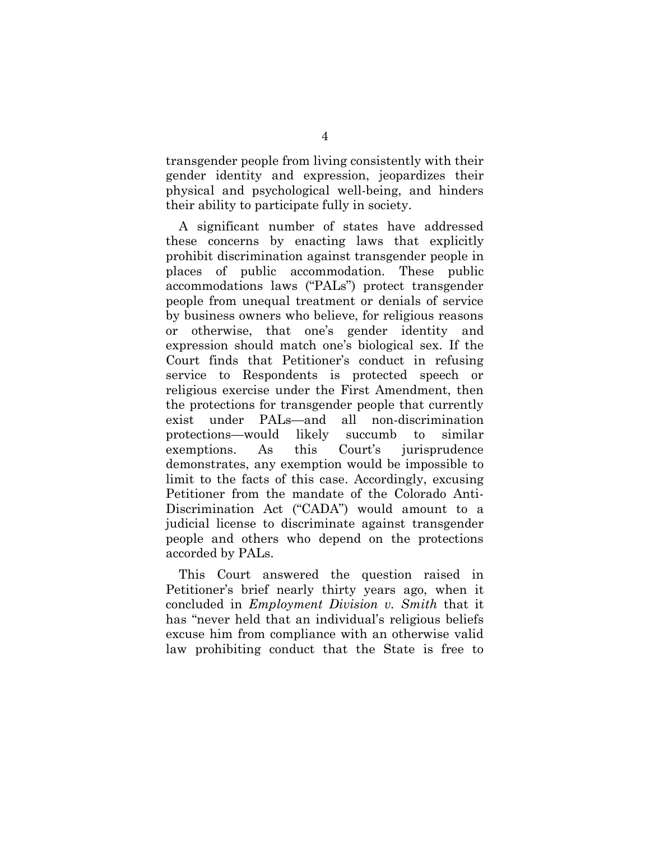transgender people from living consistently with their gender identity and expression, jeopardizes their physical and psychological well-being, and hinders their ability to participate fully in society.

A significant number of states have addressed these concerns by enacting laws that explicitly prohibit discrimination against transgender people in places of public accommodation. These public accommodations laws ("PALs") protect transgender people from unequal treatment or denials of service by business owners who believe, for religious reasons or otherwise, that one's gender identity and expression should match one's biological sex. If the Court finds that Petitioner's conduct in refusing service to Respondents is protected speech or religious exercise under the First Amendment, then the protections for transgender people that currently exist under PALs—and all non-discrimination protections—would likely succumb to similar exemptions. As this Court's jurisprudence demonstrates, any exemption would be impossible to limit to the facts of this case. Accordingly, excusing Petitioner from the mandate of the Colorado Anti-Discrimination Act ("CADA") would amount to a judicial license to discriminate against transgender people and others who depend on the protections accorded by PALs.

This Court answered the question raised in Petitioner's brief nearly thirty years ago, when it concluded in *Employment Division v. Smith* that it has "never held that an individual's religious beliefs excuse him from compliance with an otherwise valid law prohibiting conduct that the State is free to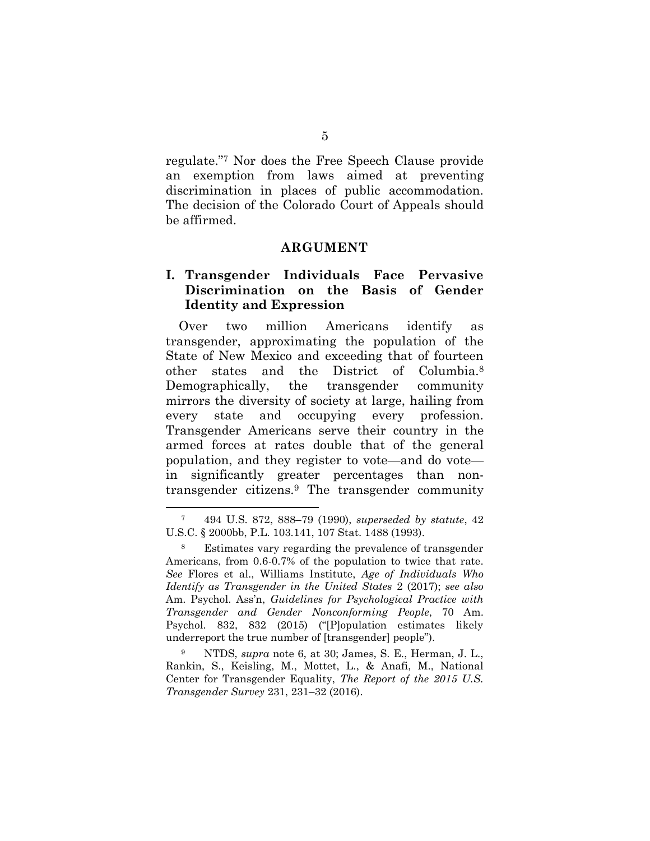regulate."<sup>7</sup> Nor does the Free Speech Clause provide an exemption from laws aimed at preventing discrimination in places of public accommodation. The decision of the Colorado Court of Appeals should be affirmed.

#### <span id="page-13-0"></span>**ARGUMENT**

#### <span id="page-13-1"></span>**I. Transgender Individuals Face Pervasive Discrimination on the Basis of Gender Identity and Expression**

Over two million Americans identify as transgender, approximating the population of the State of New Mexico and exceeding that of fourteen other states and the District of Columbia.<sup>8</sup> Demographically, the transgender community mirrors the diversity of society at large, hailing from every state and occupying every profession. Transgender Americans serve their country in the armed forces at rates double that of the general population, and they register to vote—and do vote in significantly greater percentages than nontransgender citizens.<sup>9</sup> The transgender community

<span id="page-13-2"></span><sup>7</sup> 494 U.S. 872, 888–79 (1990), *superseded by statute*, 42 U.S.C. § 2000bb, P.L. 103.141, 107 Stat. 1488 (1993).

<span id="page-13-4"></span><span id="page-13-3"></span><sup>8</sup> Estimates vary regarding the prevalence of transgender Americans, from 0.6-0.7% of the population to twice that rate. *See* Flores et al., Williams Institute, *Age of Individuals Who Identify as Transgender in the United States* 2 (2017); *see also*  Am. Psychol. Ass'n, *Guidelines for Psychological Practice with Transgender and Gender Nonconforming People*, 70 Am. Psychol. 832, 832 (2015) ("[P]opulation estimates likely underreport the true number of [transgender] people").

<span id="page-13-5"></span><sup>9</sup> NTDS, *supra* note 6, at 30; James, S. E., Herman, J. L., Rankin, S., Keisling, M., Mottet, L., & Anafi, M., National Center for Transgender Equality, *The Report of the 2015 U.S. Transgender Survey* 231, 231–32 (2016).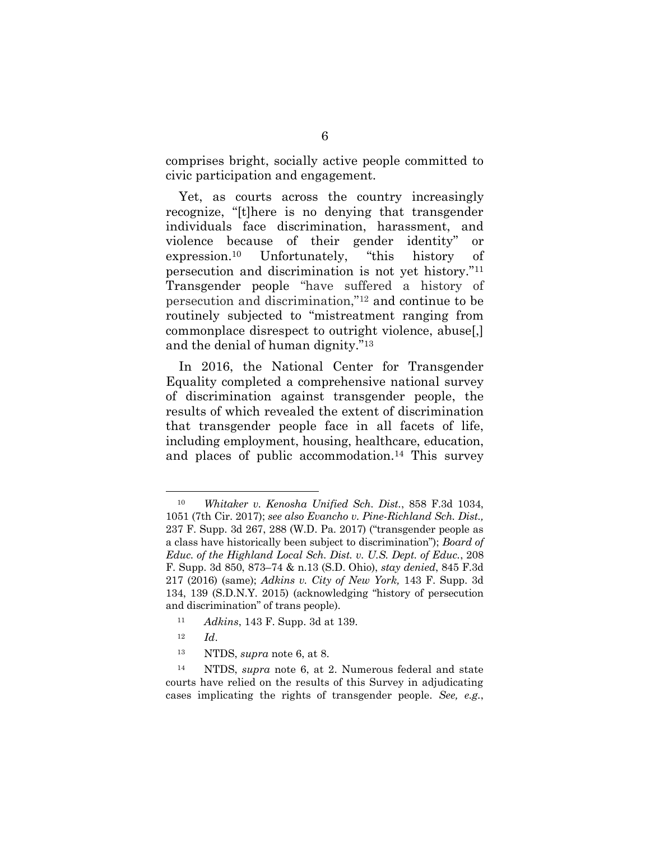comprises bright, socially active people committed to civic participation and engagement.

Yet, as courts across the country increasingly recognize, "[t]here is no denying that transgender individuals face discrimination, harassment, and violence because of their gender identity" or expression.<sup>10</sup> Unfortunately, "this history of persecution and discrimination is not yet history."<sup>11</sup> Transgender people "have suffered a history of persecution and discrimination,"<sup>12</sup> and continue to be routinely subjected to "mistreatment ranging from commonplace disrespect to outright violence, abuse[,] and the denial of human dignity."<sup>13</sup>

In 2016, the National Center for Transgender Equality completed a comprehensive national survey of discrimination against transgender people, the results of which revealed the extent of discrimination that transgender people face in all facets of life, including employment, housing, healthcare, education, and places of public accommodation.<sup>14</sup> This survey

- <span id="page-14-0"></span><sup>11</sup> *Adkins*, 143 F. Supp. 3d at 139.
- <sup>12</sup> *Id*.

<span id="page-14-2"></span><span id="page-14-1"></span> $\overline{a}$ 

<sup>13</sup> NTDS, *supra* note 6, at 8.

<sup>10</sup> *Whitaker v. Kenosha Unified Sch. Dist.*, 858 F.3d 1034, 1051 (7th Cir. 2017); *see also Evancho v. Pine-Richland Sch. Dist.,* 237 F. Supp. 3d 267, 288 (W.D. Pa. 2017) ("transgender people as a class have historically been subject to discrimination"); *Board of Educ. of the Highland Local Sch. Dist. v. U.S. Dept. of Educ.*, 208 F. Supp. 3d 850, 873–74 & n.13 (S.D. Ohio), *stay denied*, 845 F.3d 217 (2016) (same); *Adkins v. City of New York,* 143 F. Supp. 3d 134, 139 (S.D.N.Y. 2015) (acknowledging "history of persecution and discrimination" of trans people).

<sup>14</sup> NTDS, *supra* note 6, at 2. Numerous federal and state courts have relied on the results of this Survey in adjudicating cases implicating the rights of transgender people. *See, e.g.*,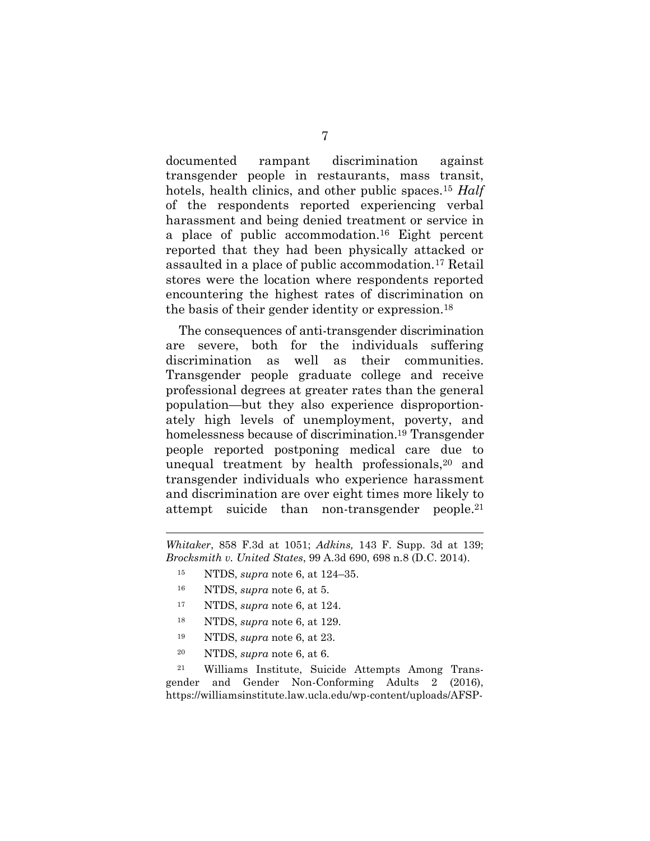documented rampant discrimination against transgender people in restaurants, mass transit, hotels, health clinics, and other public spaces.<sup>15</sup> *Half* of the respondents reported experiencing verbal harassment and being denied treatment or service in a place of public accommodation. <sup>16</sup> Eight percent reported that they had been physically attacked or assaulted in a place of public accommodation.<sup>17</sup> Retail stores were the location where respondents reported encountering the highest rates of discrimination on the basis of their gender identity or expression. 18

The consequences of anti-transgender discrimination are severe, both for the individuals suffering discrimination as well as their communities. Transgender people graduate college and receive professional degrees at greater rates than the general population—but they also experience disproportionately high levels of unemployment, poverty, and homelessness because of discrimination. <sup>19</sup> Transgender people reported postponing medical care due to unequal treatment by health professionals,<sup>20</sup> and transgender individuals who experience harassment and discrimination are over eight times more likely to attempt suicide than non-transgender people. 21

<span id="page-15-1"></span><span id="page-15-0"></span>*Whitaker*, 858 F.3d at 1051; *Adkins,* 143 F. Supp. 3d at 139; *Brocksmith v. United States*, 99 A.3d 690, 698 n.8 (D.C. 2014).

- <sup>15</sup> NTDS, *supra* note 6, at 124–35.
- <sup>16</sup> NTDS, *supra* note 6, at 5.

<u>.</u>

- <sup>17</sup> NTDS, *supra* note 6, at 124.
- <sup>18</sup> NTDS, *supra* note 6, at 129.
- <sup>19</sup> NTDS, *supra* note 6, at 23.
- <span id="page-15-2"></span><sup>20</sup> NTDS, *supra* note 6, at 6.

<sup>21</sup> Williams Institute, Suicide Attempts Among Transgender and Gender Non-Conforming Adults 2 (2016), [https://williamsinstitute.law.ucla.edu/wp-content/uploads/AFSP-](https://williamsinstitute.law.ucla.edu/wp-content/uploads/AFSP-Williams-Suicide-Report-Final.pdf)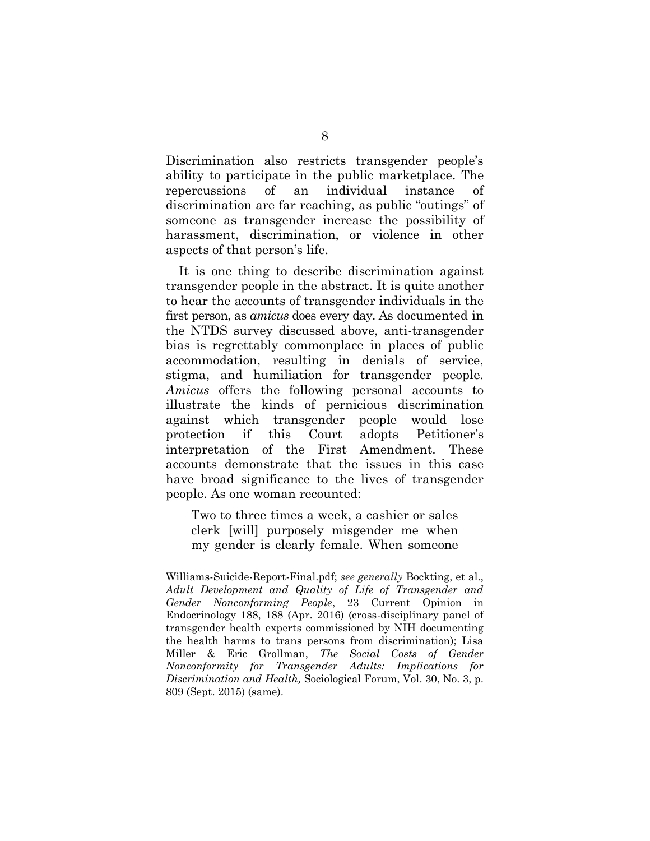Discrimination also restricts transgender people's ability to participate in the public marketplace. The repercussions of an individual instance of discrimination are far reaching, as public "outings" of someone as transgender increase the possibility of harassment, discrimination, or violence in other aspects of that person's life.

It is one thing to describe discrimination against transgender people in the abstract. It is quite another to hear the accounts of transgender individuals in the first person, as *amicus* does every day. As documented in the NTDS survey discussed above, anti-transgender bias is regrettably commonplace in places of public accommodation, resulting in denials of service, stigma, and humiliation for transgender people. *Amicus* offers the following personal accounts to illustrate the kinds of pernicious discrimination against which transgender people would lose protection if this Court adopts Petitioner's interpretation of the First Amendment. These accounts demonstrate that the issues in this case have broad significance to the lives of transgender people. As one woman recounted:

<span id="page-16-0"></span>Two to three times a week, a cashier or sales clerk [will] purposely misgender me when my gender is clearly female. When someone

<u>.</u>

<span id="page-16-1"></span>[Williams-Suicide-Report-Final.pdf;](https://williamsinstitute.law.ucla.edu/wp-content/uploads/AFSP-Williams-Suicide-Report-Final.pdf) *see generally* Bockting, et al., *Adult Development and Quality of Life of Transgender and Gender Nonconforming People*, 23 Current Opinion in Endocrinology 188, 188 (Apr. 2016) (cross-disciplinary panel of transgender health experts commissioned by NIH documenting the health harms to trans persons from discrimination); Lisa Miller & Eric Grollman, *The Social Costs of Gender Nonconformity for Transgender Adults: Implications for Discrimination and Health,* Sociological Forum, Vol. 30, No. 3, p. 809 (Sept. 2015) (same).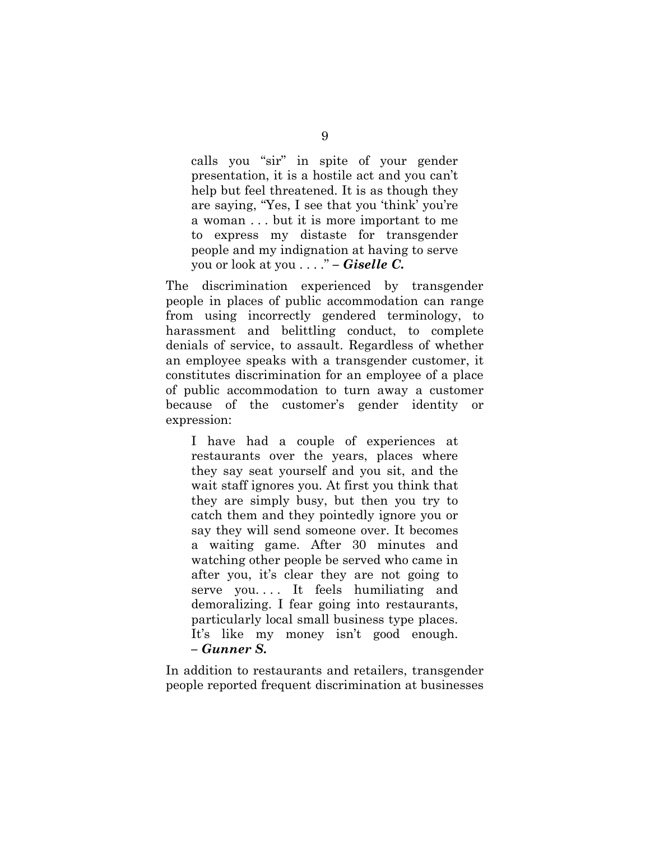calls you "sir" in spite of your gender presentation, it is a hostile act and you can't help but feel threatened. It is as though they are saying, "Yes, I see that you 'think' you're a woman . . . but it is more important to me to express my distaste for transgender people and my indignation at having to serve you or look at you . . . ." *– Giselle C.*

The discrimination experienced by transgender people in places of public accommodation can range from using incorrectly gendered terminology, to harassment and belittling conduct, to complete denials of service, to assault. Regardless of whether an employee speaks with a transgender customer, it constitutes discrimination for an employee of a place of public accommodation to turn away a customer because of the customer's gender identity or expression:

I have had a couple of experiences at restaurants over the years, places where they say seat yourself and you sit, and the wait staff ignores you. At first you think that they are simply busy, but then you try to catch them and they pointedly ignore you or say they will send someone over. It becomes a waiting game. After 30 minutes and watching other people be served who came in after you, it's clear they are not going to serve you. . . . It feels humiliating and demoralizing. I fear going into restaurants, particularly local small business type places. It's like my money isn't good enough. *– Gunner S.*

In addition to restaurants and retailers, transgender people reported frequent discrimination at businesses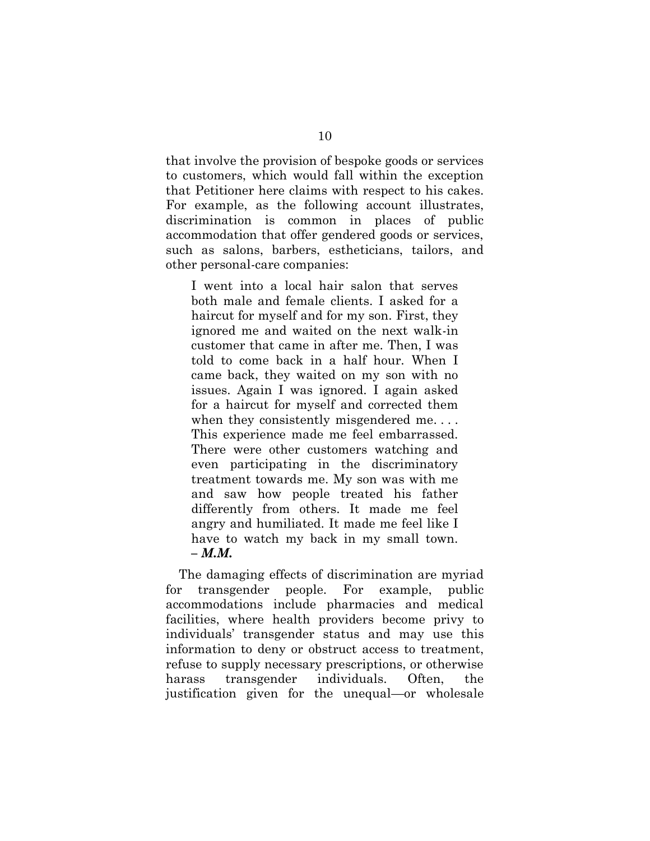that involve the provision of bespoke goods or services to customers, which would fall within the exception that Petitioner here claims with respect to his cakes. For example, as the following account illustrates, discrimination is common in places of public accommodation that offer gendered goods or services, such as salons, barbers, estheticians, tailors, and other personal-care companies:

I went into a local hair salon that serves both male and female clients. I asked for a haircut for myself and for my son. First, they ignored me and waited on the next walk-in customer that came in after me. Then, I was told to come back in a half hour. When I came back, they waited on my son with no issues. Again I was ignored. I again asked for a haircut for myself and corrected them when they consistently misgendered me.... This experience made me feel embarrassed. There were other customers watching and even participating in the discriminatory treatment towards me. My son was with me and saw how people treated his father differently from others. It made me feel angry and humiliated. It made me feel like I have to watch my back in my small town. *– M.M.*

The damaging effects of discrimination are myriad for transgender people. For example, public accommodations include pharmacies and medical facilities, where health providers become privy to individuals' transgender status and may use this information to deny or obstruct access to treatment, refuse to supply necessary prescriptions, or otherwise harass transgender individuals. Often, the justification given for the unequal—or wholesale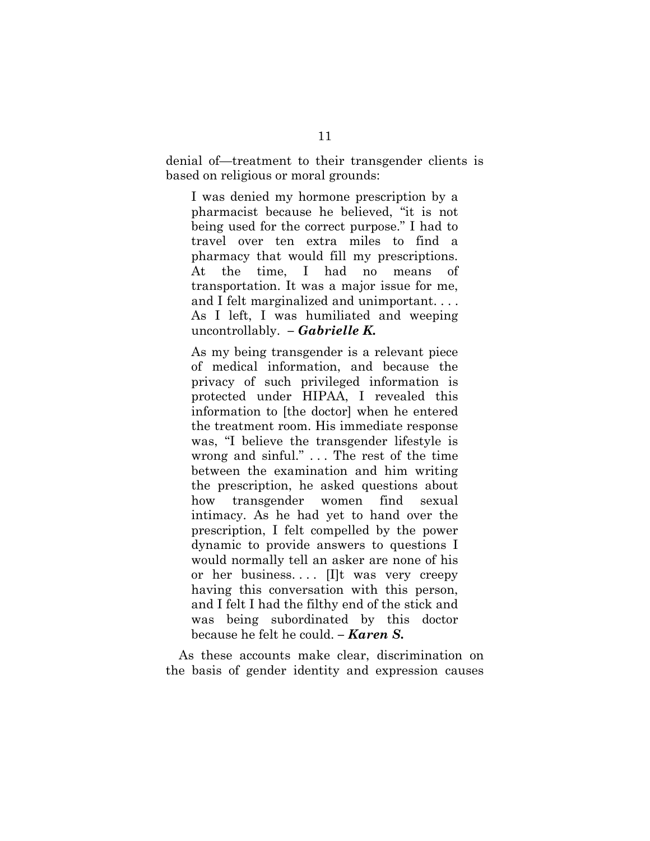denial of—treatment to their transgender clients is based on religious or moral grounds:

I was denied my hormone prescription by a pharmacist because he believed, "it is not being used for the correct purpose." I had to travel over ten extra miles to find a pharmacy that would fill my prescriptions. At the time, I had no means of transportation. It was a major issue for me, and I felt marginalized and unimportant. . . . As I left, I was humiliated and weeping uncontrollably. *– Gabrielle K.*

As my being transgender is a relevant piece of medical information, and because the privacy of such privileged information is protected under HIPAA, I revealed this information to [the doctor] when he entered the treatment room. His immediate response was, "I believe the transgender lifestyle is wrong and sinful." . . . The rest of the time between the examination and him writing the prescription, he asked questions about how transgender women find sexual intimacy. As he had yet to hand over the prescription, I felt compelled by the power dynamic to provide answers to questions I would normally tell an asker are none of his or her business.... Ill was very creepy having this conversation with this person, and I felt I had the filthy end of the stick and was being subordinated by this doctor because he felt he could. *– Karen S.*

As these accounts make clear, discrimination on the basis of gender identity and expression causes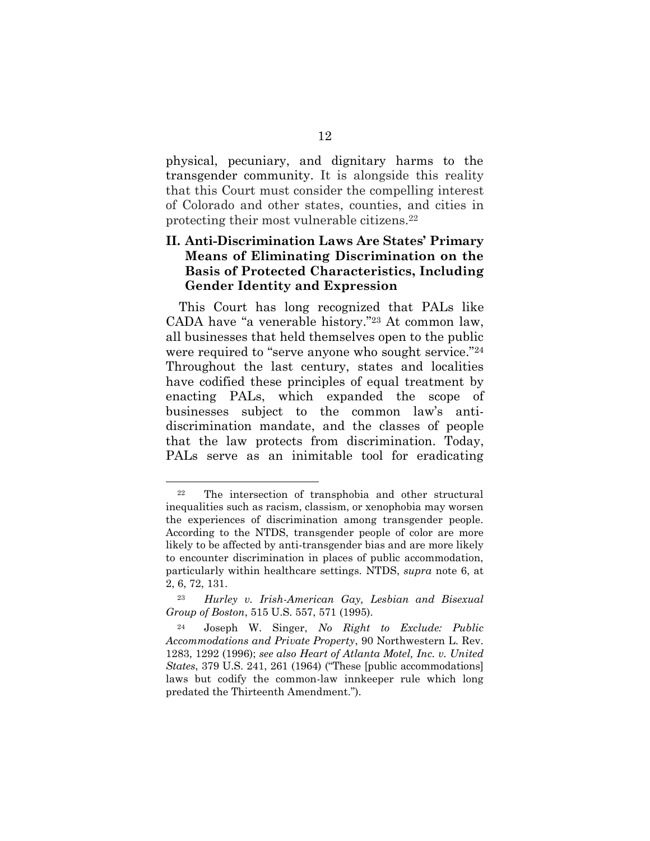physical, pecuniary, and dignitary harms to the transgender community. It is alongside this reality that this Court must consider the compelling interest of Colorado and other states, counties, and cities in protecting their most vulnerable citizens.<sup>22</sup>

#### <span id="page-20-0"></span>**II. Anti-Discrimination Laws Are States' Primary Means of Eliminating Discrimination on the Basis of Protected Characteristics, Including Gender Identity and Expression**

This Court has long recognized that PALs like CADA have "a venerable history." <sup>23</sup> At common law, all businesses that held themselves open to the public were required to "serve anyone who sought service."<sup>24</sup> Throughout the last century, states and localities have codified these principles of equal treatment by enacting PALs, which expanded the scope of businesses subject to the common law's antidiscrimination mandate, and the classes of people that the law protects from discrimination. Today, PALs serve as an inimitable tool for eradicating

<sup>22</sup> The intersection of transphobia and other structural inequalities such as racism, classism, or xenophobia may worsen the experiences of discrimination among transgender people. According to the NTDS, transgender people of color are more likely to be affected by anti-transgender bias and are more likely to encounter discrimination in places of public accommodation, particularly within healthcare settings. NTDS, *supra* note 6, at 2, 6, 72, 131.

<sup>23</sup> *Hurley v. Irish-American Gay, Lesbian and Bisexual Group of Boston*, 515 U.S. 557, 571 (1995).

<span id="page-20-2"></span><span id="page-20-1"></span><sup>24</sup> Joseph W. Singer, *No Right to Exclude: Public Accommodations and Private Property*, 90 Northwestern L. Rev. 1283, 1292 (1996); *see also Heart of Atlanta Motel, Inc. v. United States*, 379 U.S. 241, 261 (1964) ("These [public accommodations] laws but codify the common-law innkeeper rule which long predated the Thirteenth Amendment.").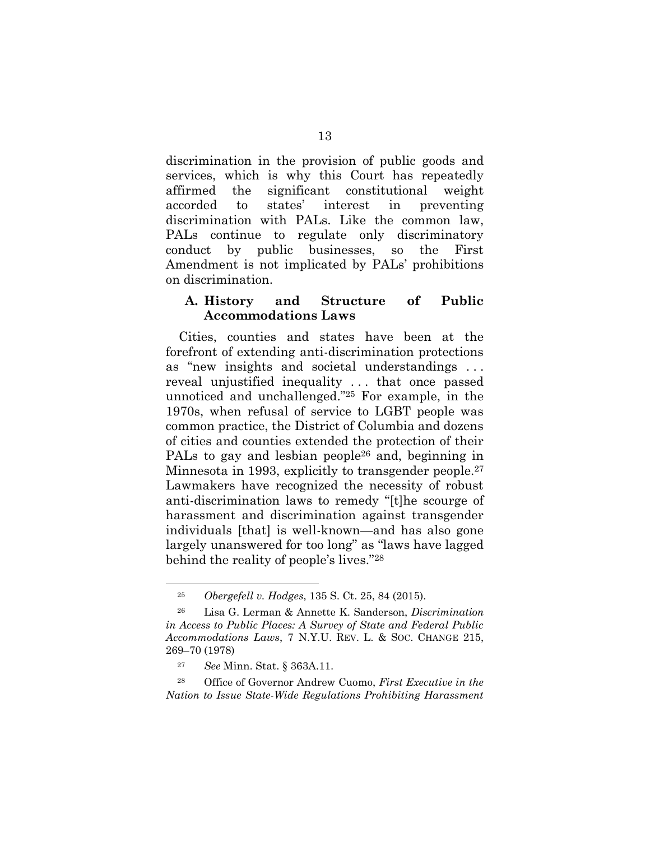discrimination in the provision of public goods and services, which is why this Court has repeatedly affirmed the significant constitutional weight accorded to states' interest in preventing discrimination with PALs. Like the common law, PALs continue to regulate only discriminatory conduct by public businesses, so the First Amendment is not implicated by PALs' prohibitions on discrimination.

#### <span id="page-21-0"></span>**A. History and Structure of Public Accommodations Laws**

Cities, counties and states have been at the forefront of extending anti-discrimination protections as "new insights and societal understandings . . . reveal unjustified inequality . . . that once passed unnoticed and unchallenged."<sup>25</sup> For example, in the 1970s, when refusal of service to LGBT people was common practice, the District of Columbia and dozens of cities and counties extended the protection of their PALs to gay and lesbian people<sup>26</sup> and, beginning in Minnesota in 1993, explicitly to transgender people. 27 Lawmakers have recognized the necessity of robust anti-discrimination laws to remedy "[t]he scourge of harassment and discrimination against transgender individuals [that] is well-known—and has also gone largely unanswered for too long" as "laws have lagged behind the reality of people's lives."<sup>28</sup>

 $\overline{a}$ 

<sup>28</sup> Office of Governor Andrew Cuomo, *First Executive in the Nation to Issue State-Wide Regulations Prohibiting Harassment* 

<span id="page-21-3"></span><span id="page-21-1"></span><sup>25</sup> *Obergefell v. Hodges*, 135 S. Ct. 25, 84 (2015).

<sup>26</sup> Lisa G. Lerman & Annette K. Sanderson, *Discrimination in Access to Public Places: A Survey of State and Federal Public Accommodations Laws*, 7 N.Y.U. REV. L. & SOC. CHANGE 215, 269–70 (1978)

<span id="page-21-2"></span><sup>27</sup> *See* Minn. Stat. § 363A.11.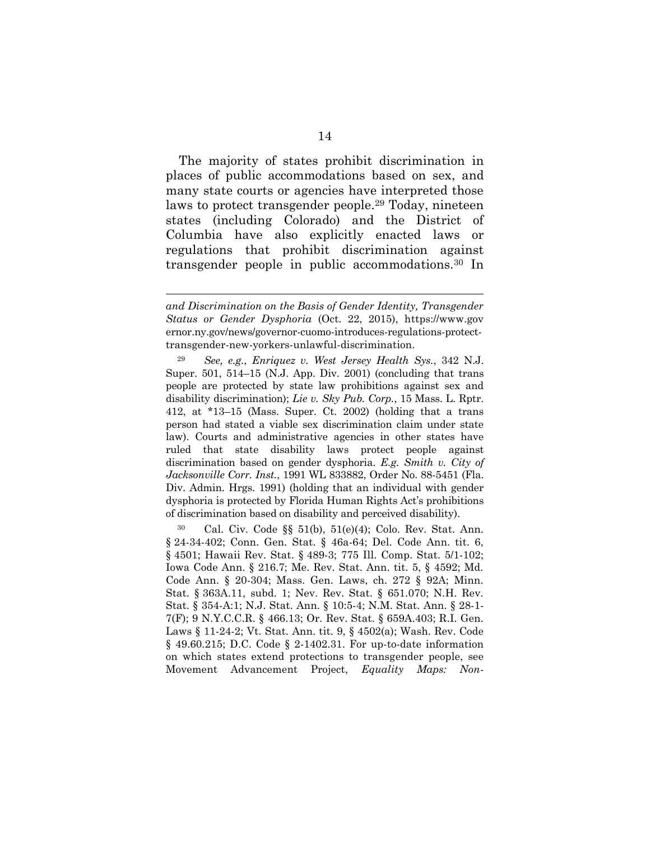The majority of states prohibit discrimination in places of public accommodations based on sex, and many state courts or agencies have interpreted those laws to protect transgender people.<sup>29</sup> Today, nineteen states (including Colorado) and the District of Columbia have also explicitly enacted laws or regulations that prohibit discrimination against transgender people in public accommodations.<sup>30</sup> In

1

<span id="page-22-1"></span><span id="page-22-0"></span><sup>29</sup> *See, e.g.*, *Enriquez v. West Jersey Health Sys.*, 342 N.J. Super. 501, 514–15 (N.J. App. Div. 2001) (concluding that trans people are protected by state law prohibitions against sex and disability discrimination); *Lie v. Sky Pub. Corp.*, 15 Mass. L. Rptr. 412, at \*13–15 (Mass. Super. Ct. 2002) (holding that a trans person had stated a viable sex discrimination claim under state law). Courts and administrative agencies in other states have ruled that state disability laws protect people against discrimination based on gender dysphoria. *E.g. Smith v. City of Jacksonville Corr. Inst.*, 1991 WL 833882, Order No. 88-5451 (Fla. Div. Admin. Hrgs. 1991) (holding that an individual with gender dysphoria is protected by Florida Human Rights Act's prohibitions of discrimination based on disability and perceived disability).

<span id="page-22-13"></span><span id="page-22-12"></span><span id="page-22-11"></span><span id="page-22-10"></span><span id="page-22-9"></span><span id="page-22-8"></span><span id="page-22-7"></span><span id="page-22-6"></span><span id="page-22-5"></span><span id="page-22-4"></span><span id="page-22-3"></span><span id="page-22-2"></span>Cal. Civ. Code  $\S$ § 51(b), 51(e)(4); Colo. Rev. Stat. Ann. § 24-34-402; Conn. Gen. Stat. § 46a-64; Del. Code Ann. tit. 6, § 4501; Hawaii Rev. Stat. § 489-3; 775 Ill. Comp. Stat. 5/1-102; Iowa Code Ann. § 216.7; Me. Rev. Stat. Ann. tit. 5, § 4592; Md. Code Ann. § 20-304; Mass. Gen. Laws, ch. 272 § 92A; Minn. Stat. § 363A.11, subd. 1; Nev. Rev. Stat. § 651.070; N.H. Rev. Stat. § 354-A:1; N.J. Stat. Ann. § 10:5-4; N.M. Stat. Ann. § 28-1- 7(F); 9 N.Y.C.C.R. § 466.13; Or. Rev. Stat. § 659A.403; R.I. Gen. Laws § 11-24-2; Vt. Stat. Ann. tit. 9, § 4502(a); Wash. Rev. Code § 49.60.215; D.C. Code § 2-1402.31. For up-to-date information on which states extend protections to transgender people, see Movement Advancement Project, *Equality Maps: Non-*

*and Discrimination on the Basis of Gender Identity, Transgender Status or Gender Dysphoria* (Oct. 22, 2015), https://www.gov ernor.ny.gov/news/governor-cuomo-introduces-regulations-protecttransgender-new-yorkers-unlawful-discrimination.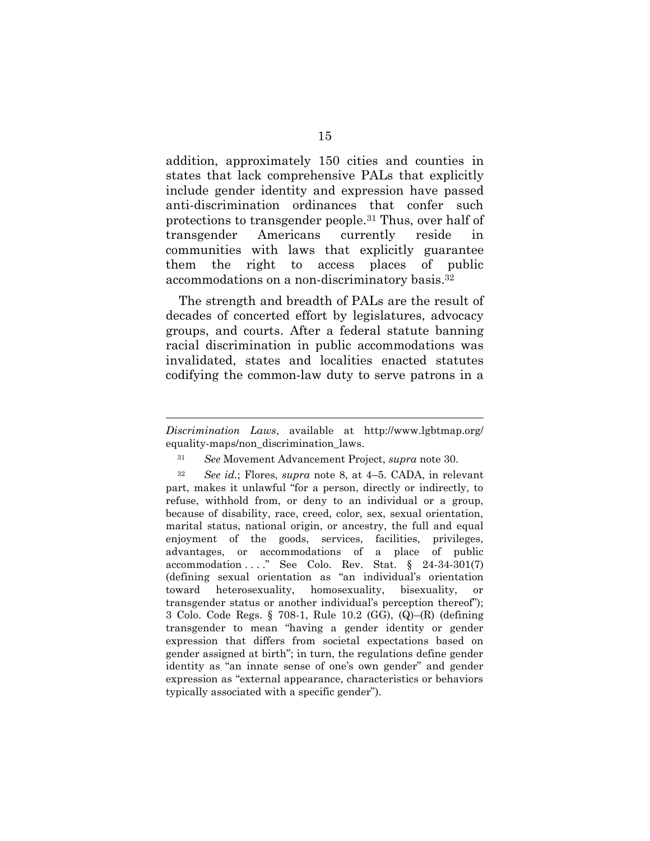addition, approximately 150 cities and counties in states that lack comprehensive PALs that explicitly include gender identity and expression have passed anti-discrimination ordinances that confer such protections to transgender people.<sup>31</sup> Thus, over half of transgender Americans currently reside in communities with laws that explicitly guarantee them the right to access places of public accommodations on a non-discriminatory basis.<sup>32</sup>

The strength and breadth of PALs are the result of decades of concerted effort by legislatures, advocacy groups, and courts. After a federal statute banning racial discrimination in public accommodations was invalidated, states and localities enacted statutes codifying the common-law duty to serve patrons in a

1

*Discrimination Laws*, available at http://www.lgbtmap.org/ equality-maps/non\_discrimination\_laws.

<span id="page-23-1"></span><sup>31</sup> *See* Movement Advancement Project, *supra* note 30.

<span id="page-23-0"></span><sup>32</sup> *See id.*; Flores, *supra* note 8, at 4–5. CADA, in relevant part, makes it unlawful "for a person, directly or indirectly, to refuse, withhold from, or deny to an individual or a group, because of disability, race, creed, color, sex, sexual orientation, marital status, national origin, or ancestry, the full and equal enjoyment of the goods, services, facilities, privileges, advantages, or accommodations of a place of public accommodation . . . . " See Colo. Rev. Stat.  $\S$  24-34-301(7) (defining sexual orientation as "an individual's orientation toward heterosexuality, homosexuality, bisexuality, or transgender status or another individual's perception thereof"); 3 Colo. Code Regs. § 708-1, Rule 10.2 (GG), (Q)–(R) (defining transgender to mean "having a gender identity or gender expression that differs from societal expectations based on gender assigned at birth"; in turn, the regulations define gender identity as "an innate sense of one's own gender" and gender expression as "external appearance, characteristics or behaviors typically associated with a specific gender").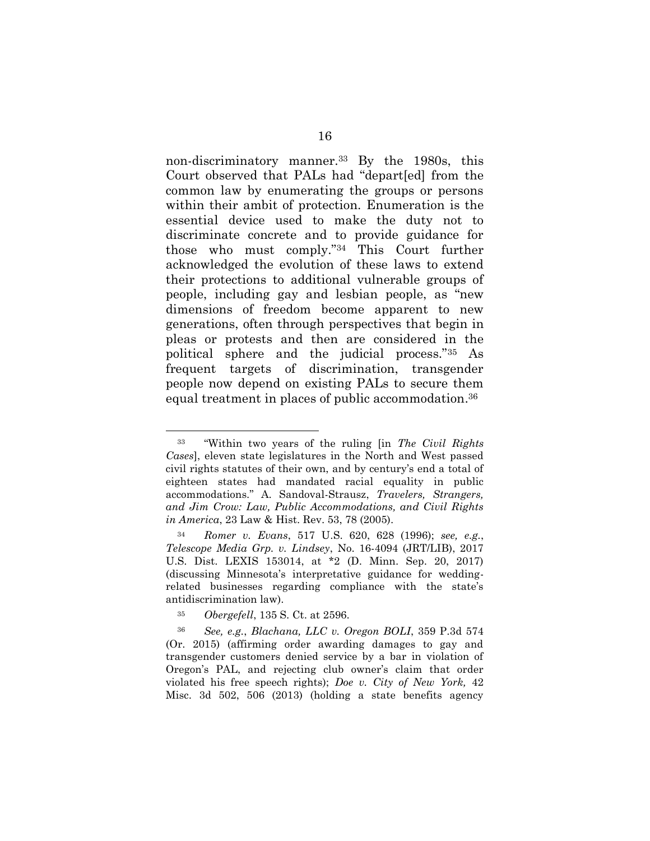non-discriminatory manner.<sup>33</sup> By the 1980s, this Court observed that PALs had "depart[ed] from the common law by enumerating the groups or persons within their ambit of protection. Enumeration is the essential device used to make the duty not to discriminate concrete and to provide guidance for those who must comply."<sup>34</sup> This Court further acknowledged the evolution of these laws to extend their protections to additional vulnerable groups of people, including gay and lesbian people, as "new dimensions of freedom become apparent to new generations, often through perspectives that begin in pleas or protests and then are considered in the political sphere and the judicial process."<sup>35</sup> As frequent targets of discrimination, transgender people now depend on existing PALs to secure them equal treatment in places of public accommodation. 36

<span id="page-24-2"></span><span id="page-24-1"></span><span id="page-24-0"></span><sup>35</sup> *Obergefell*, 135 S. Ct. at 2596.

<sup>33</sup> "Within two years of the ruling [in *The Civil Rights Cases*], eleven state legislatures in the North and West passed civil rights statutes of their own, and by century's end a total of eighteen states had mandated racial equality in public accommodations." A. Sandoval-Strausz, *Travelers, Strangers, and Jim Crow: Law, Public Accommodations, and Civil Rights in America*, 23 Law & Hist. Rev. 53, 78 (2005).

<span id="page-24-5"></span><span id="page-24-4"></span><span id="page-24-3"></span><sup>34</sup> *Romer v. Evans*, 517 U.S. 620, 628 (1996); *see, e.g.*, *[Telescope Media Grp. v. Lindsey](https://advance.lexis.com/api/document/collection/cases/id/5PHR-6WJ1-F04D-J0NW-00000-00?page=39&reporter=1293&cite=2017%20U.S.%20Dist.%20LEXIS%20153014&context=1000516)*, No. 16-4094 (JRT/LIB), 2017 [U.S. Dist. LEXIS 153014, at \\*2 \(D. Minn. Sep. 20, 2017\)](https://advance.lexis.com/api/document/collection/cases/id/5PHR-6WJ1-F04D-J0NW-00000-00?page=39&reporter=1293&cite=2017%20U.S.%20Dist.%20LEXIS%20153014&context=1000516) (discussing Minnesota's interpretative guidance for weddingrelated businesses regarding compliance with the state's antidiscrimination law).

<sup>36</sup> *See, e.g.*, *Blachana, LLC v. Oregon BOLI*, 359 P.3d 574 (Or. 2015) (affirming order awarding damages to gay and transgender customers denied service by a bar in violation of Oregon's PAL, and rejecting club owner's claim that order violated his free speech rights); *Doe v. City of New York,* 42 Misc. 3d 502, 506 (2013) (holding a state benefits agency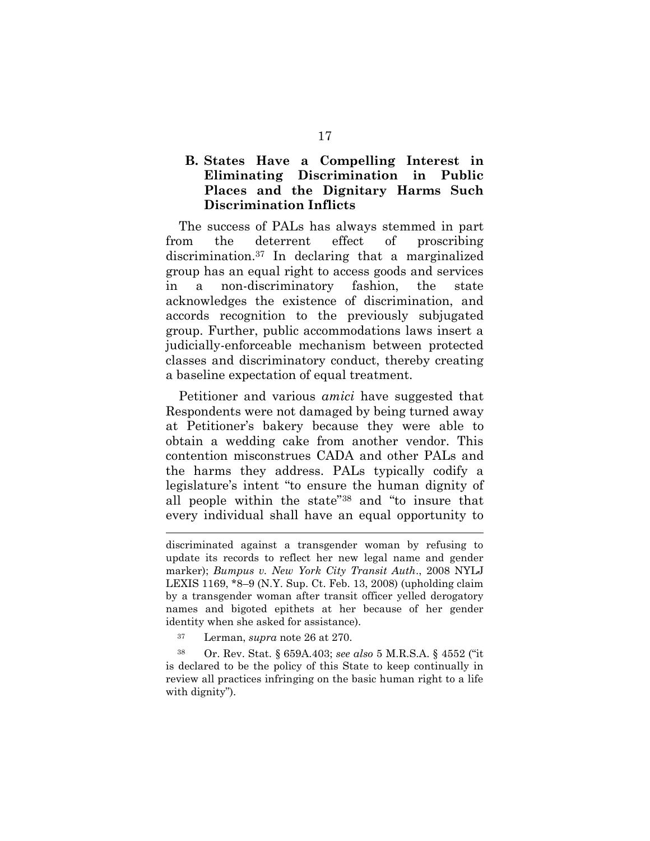#### <span id="page-25-0"></span>**B. States Have a Compelling Interest in Eliminating Discrimination in Public Places and the Dignitary Harms Such Discrimination Inflicts**

The success of PALs has always stemmed in part from the deterrent effect of proscribing discrimination.<sup>37</sup> In declaring that a marginalized group has an equal right to access goods and services in a non-discriminatory fashion, the state acknowledges the existence of discrimination, and accords recognition to the previously subjugated group. Further, public accommodations laws insert a judicially-enforceable mechanism between protected classes and discriminatory conduct, thereby creating a baseline expectation of equal treatment.

Petitioner and various *amici* have suggested that Respondents were not damaged by being turned away at Petitioner's bakery because they were able to obtain a wedding cake from another vendor. This contention misconstrues CADA and other PALs and the harms they address. PALs typically codify a legislature's intent "to ensure the human dignity of all people within the state"<sup>38</sup> and "to insure that every individual shall have an equal opportunity to

<span id="page-25-1"></span><sup>37</sup> Lerman, *supra* note 26 at 270.

<u>.</u>

<sup>38</sup> Or. Rev. Stat. § 659A.403; *see also* 5 M.R.S.A. § 4552 ("it is declared to be the policy of this State to keep continually in review all practices infringing on the basic human right to a life with dignity").

discriminated against a transgender woman by refusing to update its records to reflect her new legal name and gender marker); *Bumpus v. New York City Transit Auth*., 2008 NYLJ LEXIS 1169, \*8–9 (N.Y. Sup. Ct. Feb. 13, 2008) (upholding claim by a transgender woman after transit officer yelled derogatory names and bigoted epithets at her because of her gender identity when she asked for assistance).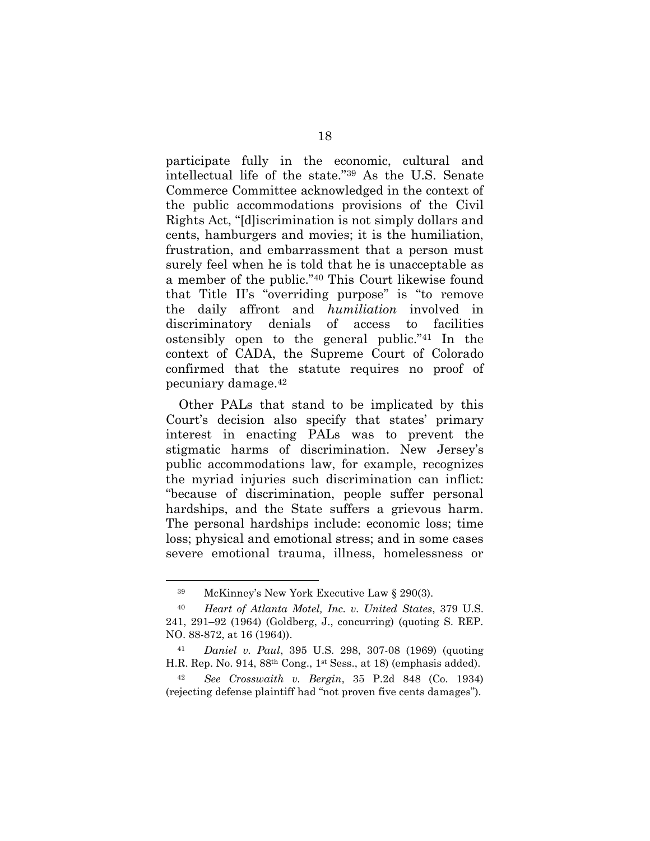participate fully in the economic, cultural and intellectual life of the state."<sup>39</sup> As the U.S. Senate Commerce Committee acknowledged in the context of the public accommodations provisions of the Civil Rights Act, "[d]iscrimination is not simply dollars and cents, hamburgers and movies; it is the humiliation, frustration, and embarrassment that a person must surely feel when he is told that he is unacceptable as a member of the public."<sup>40</sup> This Court likewise found that Title II's "overriding purpose" is "to remove the daily affront and *humiliation* involved in discriminatory denials of access to facilities ostensibly open to the general public."<sup>41</sup> In the context of CADA, the Supreme Court of Colorado confirmed that the statute requires no proof of pecuniary damage.<sup>42</sup>

Other PALs that stand to be implicated by this Court's decision also specify that states' primary interest in enacting PALs was to prevent the stigmatic harms of discrimination. New Jersey's public accommodations law, for example, recognizes the myriad injuries such discrimination can inflict: "because of discrimination, people suffer personal hardships, and the State suffers a grievous harm. The personal hardships include: economic loss; time loss; physical and emotional stress; and in some cases severe emotional trauma, illness, homelessness or

<span id="page-26-3"></span><span id="page-26-2"></span><sup>39</sup> McKinney's New York Executive Law § 290(3).

<sup>40</sup> *Heart of Atlanta Motel, Inc. v. United States*, 379 U.S. 241, 291–92 (1964) (Goldberg, J., concurring) (quoting S. REP. NO. 88-872, at 16 (1964)).

<span id="page-26-1"></span><sup>41</sup> *Daniel v. Paul*, 395 U.S. 298, 307-08 (1969) (quoting H.R. Rep. No. 914, 88th Cong., 1st Sess., at 18) (emphasis added).

<span id="page-26-0"></span><sup>42</sup> *See Crosswaith v. Bergin*, 35 P.2d 848 (Co. 1934) (rejecting defense plaintiff had "not proven five cents damages").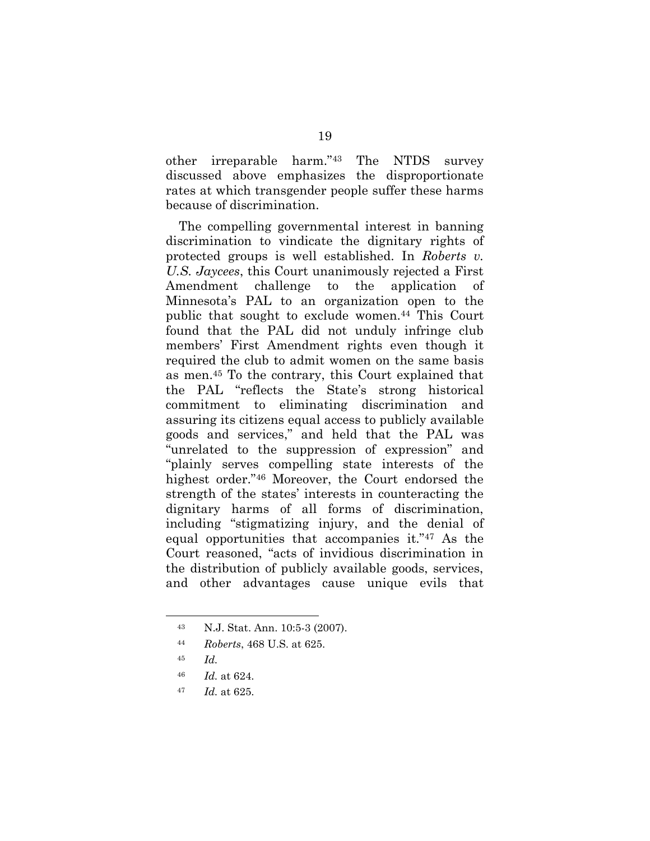other irreparable harm."<sup>43</sup> The NTDS survey discussed above emphasizes the disproportionate rates at which transgender people suffer these harms because of discrimination.

The compelling governmental interest in banning discrimination to vindicate the dignitary rights of protected groups is well established. In *Roberts v. U.S. Jaycees*, this Court unanimously rejected a First Amendment challenge to the application of Minnesota's PAL to an organization open to the public that sought to exclude women.<sup>44</sup> This Court found that the PAL did not unduly infringe club members' First Amendment rights even though it required the club to admit women on the same basis as men. <sup>45</sup> To the contrary, this Court explained that the PAL "reflects the State's strong historical commitment to eliminating discrimination and assuring its citizens equal access to publicly available goods and services," and held that the PAL was "unrelated to the suppression of expression" and "plainly serves compelling state interests of the highest order."<sup>46</sup> Moreover, the Court endorsed the strength of the states' interests in counteracting the dignitary harms of all forms of discrimination, including "stigmatizing injury, and the denial of equal opportunities that accompanies it."<sup>47</sup> As the Court reasoned, "acts of invidious discrimination in the distribution of publicly available goods, services, and other advantages cause unique evils that

<sup>43</sup> N.J. Stat. Ann. 10:5-3 (2007).

<sup>44</sup> *Roberts*, 468 U.S. at 625.

<sup>45</sup> *Id.*

<sup>46</sup> *Id.* at 624.

<sup>47</sup> *Id.* at 625.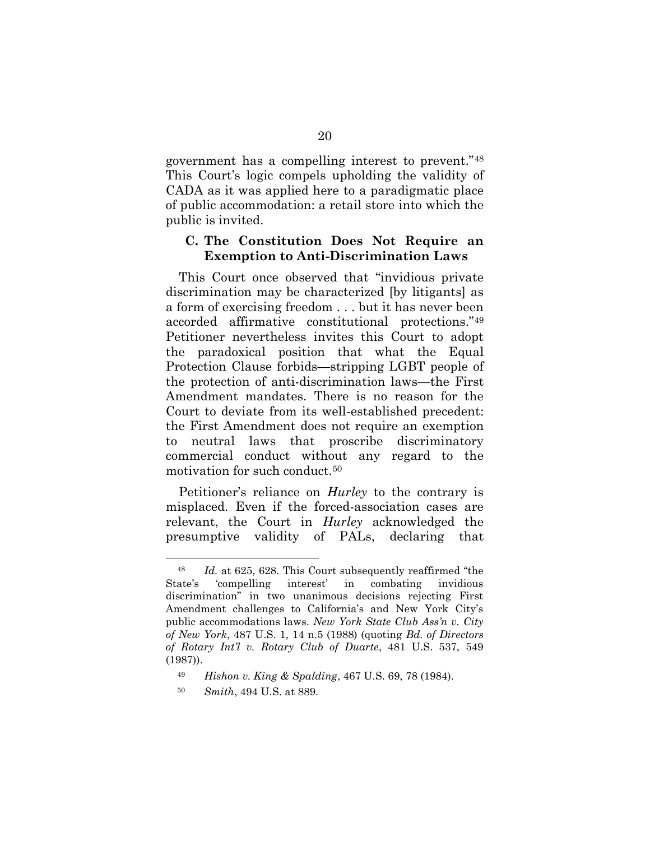government has a compelling interest to prevent."<sup>48</sup> This Court's logic compels upholding the validity of CADA as it was applied here to a paradigmatic place of public accommodation: a retail store into which the public is invited.

#### <span id="page-28-0"></span>**C. The Constitution Does Not Require an Exemption to Anti-Discrimination Laws**

This Court once observed that "invidious private discrimination may be characterized [by litigants] as a form of exercising freedom . . . but it has never been accorded affirmative constitutional protections."<sup>49</sup> Petitioner nevertheless invites this Court to adopt the paradoxical position that what the Equal Protection Clause forbids—stripping LGBT people of the protection of anti-discrimination laws—the First Amendment mandates. There is no reason for the Court to deviate from its well-established precedent: the First Amendment does not require an exemption to neutral laws that proscribe discriminatory commercial conduct without any regard to the motivation for such conduct.<sup>50</sup>

Petitioner's reliance on *Hurley* to the contrary is misplaced. Even if the forced-association cases are relevant, the Court in *Hurley* acknowledged the presumptive validity of PALs, declaring that

<sup>48</sup> *Id.* at 625, 628. This Court subsequently reaffirmed "the State's 'compelling interest' in combating invidious discrimination" in two unanimous decisions rejecting First Amendment challenges to California's and New York City's public accommodations laws. *New York State Club Ass'n v. City of New York*, 487 U.S. 1, 14 n.5 (1988) (quoting *Bd. of Directors of Rotary Int'l v. Rotary Club of Duarte*, 481 U.S. 537, 549 (1987)).

<span id="page-28-1"></span><sup>49</sup> *Hishon v. King & Spalding*, 467 U.S. 69, 78 (1984).

<sup>50</sup> *Smith*, 494 U.S. at 889.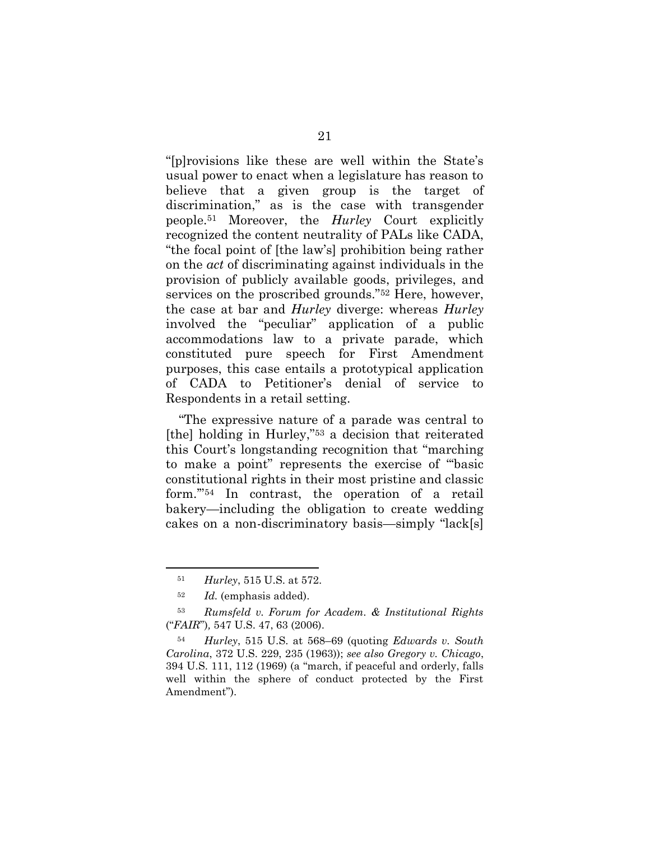"[p]rovisions like these are well within the State's usual power to enact when a legislature has reason to believe that a given group is the target of discrimination," as is the case with transgender people.<sup>51</sup> Moreover, the *Hurley* Court explicitly recognized the content neutrality of PALs like CADA, "the focal point of [the law's] prohibition being rather on the *act* of discriminating against individuals in the provision of publicly available goods, privileges, and services on the proscribed grounds."<sup>52</sup> Here, however, the case at bar and *Hurley* diverge: whereas *Hurley* involved the "peculiar" application of a public accommodations law to a private parade, which constituted pure speech for First Amendment purposes, this case entails a prototypical application of CADA to Petitioner's denial of service to Respondents in a retail setting.

"The expressive nature of a parade was central to [the] holding in Hurley,"<sup>53</sup> a decision that reiterated this Court's longstanding recognition that "marching to make a point" represents the exercise of "'basic constitutional rights in their most pristine and classic form.'"<sup>54</sup> In contrast, the operation of a retail bakery—including the obligation to create wedding cakes on a non-discriminatory basis—simply "lack[s]

<sup>51</sup> *Hurley*, 515 U.S. at 572.

<span id="page-29-0"></span><sup>52</sup> *Id.* (emphasis added).

<sup>53</sup> *Rumsfeld v. Forum for Academ. & Institutional Rights*  ("*FAIR*")*,* 547 U.S. 47, 63 (2006).

<sup>54</sup> *Hurley*, 515 U.S. at 568–69 (quoting *Edwards v. South Carolina*, 372 U.S. 229, 235 (1963)); *see also Gregory v. Chicago*, 394 U.S. 111, 112 (1969) (a "march, if peaceful and orderly, falls well within the sphere of conduct protected by the First Amendment").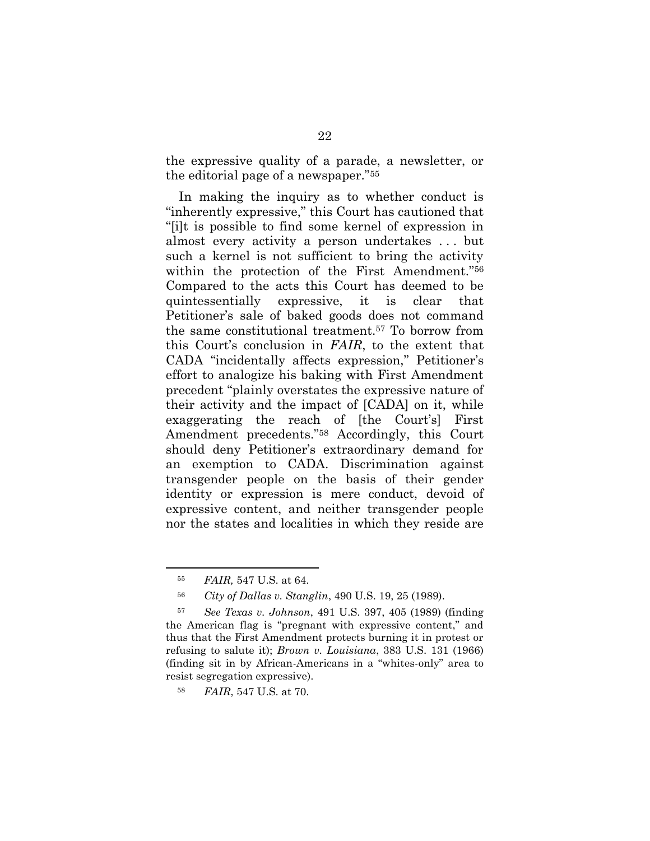the expressive quality of a parade, a newsletter, or the editorial page of a newspaper."<sup>55</sup>

In making the inquiry as to whether conduct is "inherently expressive," this Court has cautioned that "[i]t is possible to find some kernel of expression in almost every activity a person undertakes . . . but such a kernel is not sufficient to bring the activity within the protection of the First Amendment."<sup>56</sup> Compared to the acts this Court has deemed to be quintessentially expressive, it is clear that Petitioner's sale of baked goods does not command the same constitutional treatment. <sup>57</sup> To borrow from this Court's conclusion in *FAIR*, to the extent that CADA "incidentally affects expression," Petitioner's effort to analogize his baking with First Amendment precedent "plainly overstates the expressive nature of their activity and the impact of [CADA] on it, while exaggerating the reach of [the Court's] First Amendment precedents."<sup>58</sup> Accordingly, this Court should deny Petitioner's extraordinary demand for an exemption to CADA. Discrimination against transgender people on the basis of their gender identity or expression is mere conduct, devoid of expressive content, and neither transgender people nor the states and localities in which they reside are

<sup>55</sup> *FAIR,* 547 U.S. at 64.

<span id="page-30-2"></span><span id="page-30-1"></span><sup>56</sup> *City of Dallas v. Stanglin*, 490 U.S. 19, 25 (1989).

<sup>57</sup> *See Texas v. Johnson*, 491 U.S. 397, 405 (1989) (finding the American flag is "pregnant with expressive content," and thus that the First Amendment protects burning it in protest or refusing to salute it); *Brown v. Louisiana*, 383 U.S. 131 (1966) (finding sit in by African-Americans in a "whites-only" area to resist segregation expressive).

<span id="page-30-0"></span><sup>58</sup> *FAIR*, 547 U.S. at 70.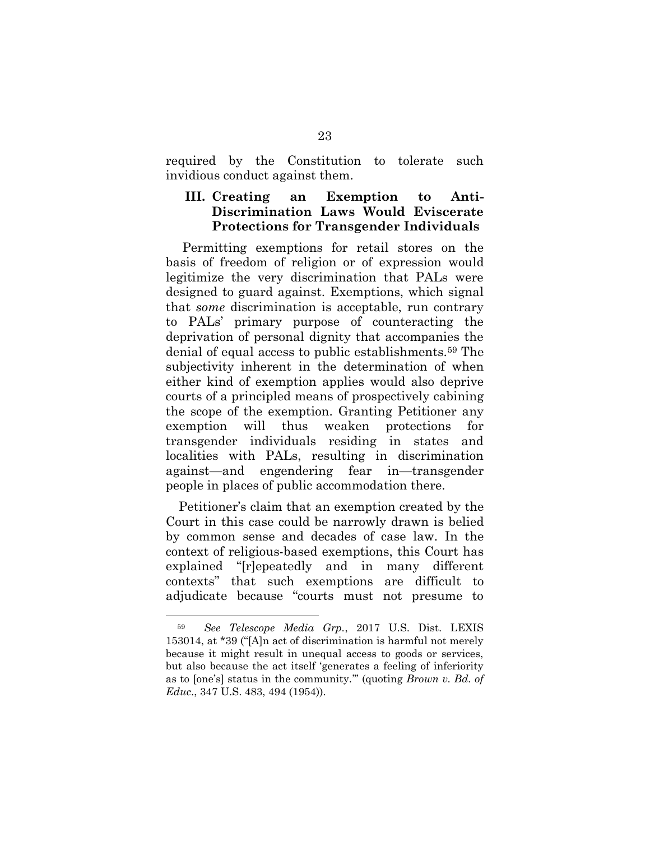required by the Constitution to tolerate such invidious conduct against them.

#### <span id="page-31-0"></span>**III. Creating an Exemption to Anti-Discrimination Laws Would Eviscerate Protections for Transgender Individuals**

Permitting exemptions for retail stores on the basis of freedom of religion or of expression would legitimize the very discrimination that PALs were designed to guard against. Exemptions, which signal that *some* discrimination is acceptable, run contrary to PALs' primary purpose of counteracting the deprivation of personal dignity that accompanies the denial of equal access to public establishments.<sup>59</sup> The subjectivity inherent in the determination of when either kind of exemption applies would also deprive courts of a principled means of prospectively cabining the scope of the exemption. Granting Petitioner any exemption will thus weaken protections for transgender individuals residing in states and localities with PALs, resulting in discrimination against—and engendering fear in—transgender people in places of public accommodation there.

Petitioner's claim that an exemption created by the Court in this case could be narrowly drawn is belied by common sense and decades of case law. In the context of religious-based exemptions, this Court has explained "[r]epeatedly and in many different contexts" that such exemptions are difficult to adjudicate because "courts must not presume to

<span id="page-31-1"></span><sup>59</sup> *See Telescope Media Grp.*[, 2017 U.S. Dist. LEXIS](https://advance.lexis.com/api/document/collection/cases/id/5PHR-6WJ1-F04D-J0NW-00000-00?page=39&reporter=1293&cite=2017%20U.S.%20Dist.%20LEXIS%20153014&context=1000516)  [153014, at \\*39](https://advance.lexis.com/api/document/collection/cases/id/5PHR-6WJ1-F04D-J0NW-00000-00?page=39&reporter=1293&cite=2017%20U.S.%20Dist.%20LEXIS%20153014&context=1000516) ("[A]n act of discrimination is harmful not merely because it might result in unequal access to goods or services, but also because the act itself 'generates a feeling of inferiority as to [one's] status in the community.'" (quoting *Brown v. Bd. of Educ*., 347 U.S. 483, 494 (1954)).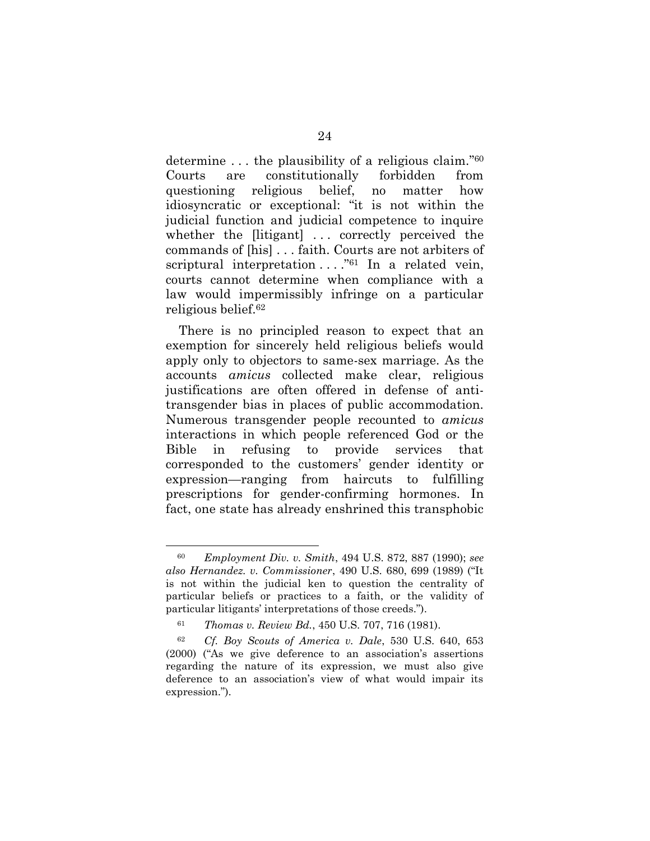determine . . . the plausibility of a religious claim." 60 Courts are constitutionally forbidden from questioning religious belief, no matter how idiosyncratic or exceptional: "it is not within the judicial function and judicial competence to inquire whether the [litigant] ... correctly perceived the commands of [his] . . . faith. Courts are not arbiters of scriptural interpretation  $\ldots$ ."<sup>61</sup> In a related vein, courts cannot determine when compliance with a law would impermissibly infringe on a particular religious belief.<sup>62</sup>

There is no principled reason to expect that an exemption for sincerely held religious beliefs would apply only to objectors to same-sex marriage. As the accounts *amicus* collected make clear, religious justifications are often offered in defense of antitransgender bias in places of public accommodation. Numerous transgender people recounted to *amicus* interactions in which people referenced God or the Bible in refusing to provide services that corresponded to the customers' gender identity or expression—ranging from haircuts to fulfilling prescriptions for gender-confirming hormones. In fact, one state has already enshrined this transphobic

<span id="page-32-1"></span><sup>60</sup> *Employment Div. v. Smith*, 494 U.S. 872, 887 (1990); *see also Hernandez. v. Commissioner*, 490 U.S. 680, 699 (1989) ("It is not within the judicial ken to question the centrality of particular beliefs or practices to a faith, or the validity of particular litigants' interpretations of those creeds.").

<span id="page-32-2"></span><span id="page-32-0"></span><sup>61</sup> *Thomas v. Review Bd.*, 450 U.S. 707, 716 (1981).

<sup>62</sup> *Cf. Boy Scouts of America v. Dale*, 530 U.S. 640, 653 (2000) ("As we give deference to an association's assertions regarding the nature of its expression, we must also give deference to an association's view of what would impair its expression.").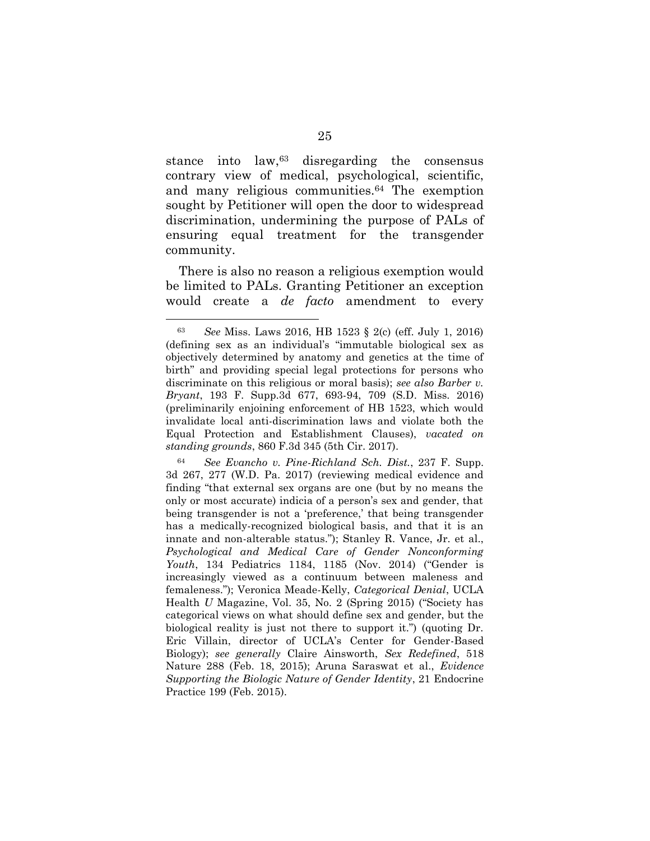stance into law,<sup>63</sup> disregarding the consensus contrary view of medical, psychological, scientific, and many religious communities.<sup>64</sup> The exemption sought by Petitioner will open the door to widespread discrimination, undermining the purpose of PALs of ensuring equal treatment for the transgender community.

There is also no reason a religious exemption would be limited to PALs. Granting Petitioner an exception would create a *de facto* amendment to every

<span id="page-33-2"></span> $\overline{a}$ 

<span id="page-33-6"></span><span id="page-33-5"></span><span id="page-33-4"></span><span id="page-33-3"></span><span id="page-33-1"></span><sup>64</sup> *See Evancho v. Pine-Richland Sch. Dist.*, 237 F. Supp. 3d 267, 277 (W.D. Pa. 2017) (reviewing medical evidence and finding "that external sex organs are one (but by no means the only or most accurate) indicia of a person's sex and gender, that being transgender is not a 'preference,' that being transgender has a medically-recognized biological basis, and that it is an innate and non-alterable status."); Stanley R. Vance, Jr. et al., *Psychological and Medical Care of Gender Nonconforming Youth*, 134 Pediatrics 1184, 1185 (Nov. 2014) ("Gender is increasingly viewed as a continuum between maleness and femaleness."); Veronica Meade-Kelly, *Categorical Denial*, UCLA Health *U* Magazine, Vol. 35, No. 2 (Spring 2015) ("Society has categorical views on what should define sex and gender, but the biological reality is just not there to support it.") (quoting Dr. Eric Villain, director of UCLA's Center for Gender-Based Biology); *see generally* Claire Ainsworth, *Sex Redefined*, 518 Nature 288 (Feb. 18, 2015); Aruna Saraswat et al., *Evidence Supporting the Biologic Nature of Gender Identity*, 21 Endocrine Practice 199 (Feb. 2015).

<span id="page-33-0"></span><sup>63</sup> *See* Miss. Laws 2016, HB 1523 § 2(c) (eff. July 1, 2016) (defining sex as an individual's "immutable biological sex as objectively determined by anatomy and genetics at the time of birth" and providing special legal protections for persons who discriminate on this religious or moral basis); *see also Barber v. Bryant*, 193 F. Supp.3d 677, 693-94, 709 (S.D. Miss. 2016) (preliminarily enjoining enforcement of HB 1523, which would invalidate local anti-discrimination laws and violate both the Equal Protection and Establishment Clauses), *vacated on standing grounds*, 860 F.3d 345 (5th Cir. 2017).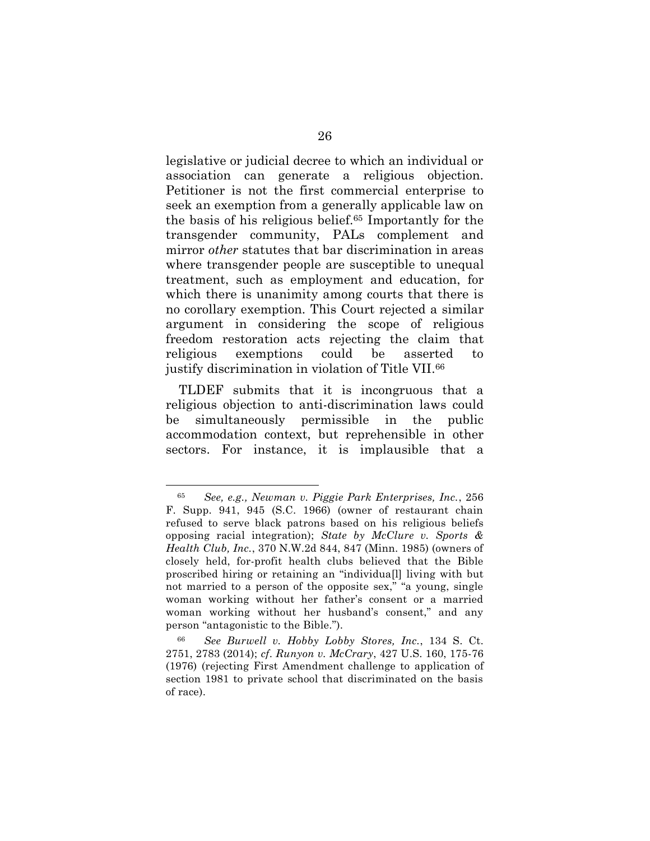legislative or judicial decree to which an individual or association can generate a religious objection. Petitioner is not the first commercial enterprise to seek an exemption from a generally applicable law on the basis of his religious belief.<sup>65</sup> Importantly for the transgender community, PALs complement and mirror *other* statutes that bar discrimination in areas where transgender people are susceptible to unequal treatment, such as employment and education, for which there is unanimity among courts that there is no corollary exemption. This Court rejected a similar argument in considering the scope of religious freedom restoration acts rejecting the claim that religious exemptions could be asserted to justify discrimination in violation of Title VII.<sup>66</sup>

TLDEF submits that it is incongruous that a religious objection to anti-discrimination laws could be simultaneously permissible in the public accommodation context, but reprehensible in other sectors. For instance, it is implausible that a

<span id="page-34-2"></span><span id="page-34-1"></span><sup>65</sup> *See, e.g., Newman v. Piggie Park Enterprises, Inc.*, 256 F. Supp. 941, 945 (S.C. 1966) (owner of restaurant chain refused to serve black patrons based on his religious beliefs opposing racial integration); *State by McClure v. Sports & Health Club, Inc.*, 370 N.W.2d 844, 847 (Minn. 1985) (owners of closely held, for-profit health clubs believed that the Bible proscribed hiring or retaining an "individua[l] living with but not married to a person of the opposite sex," "a young, single woman working without her father's consent or a married woman working without her husband's consent," and any person "antagonistic to the Bible.").

<span id="page-34-0"></span><sup>66</sup> *See Burwell v. Hobby Lobby Stores, Inc.*, 134 S. Ct. 2751, 2783 (2014); *cf*. *Runyon v. McCrary*, 427 U.S. 160, 175-76 (1976) (rejecting First Amendment challenge to application of section 1981 to private school that discriminated on the basis of race).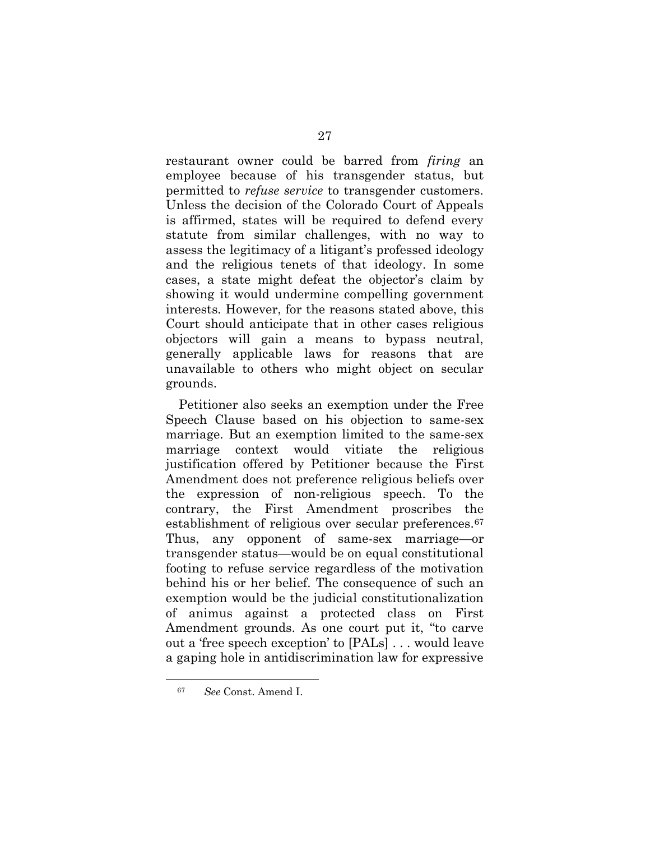restaurant owner could be barred from *firing* an employee because of his transgender status, but permitted to *refuse service* to transgender customers. Unless the decision of the Colorado Court of Appeals is affirmed, states will be required to defend every statute from similar challenges, with no way to assess the legitimacy of a litigant's professed ideology and the religious tenets of that ideology. In some cases, a state might defeat the objector's claim by showing it would undermine compelling government interests. However, for the reasons stated above, this Court should anticipate that in other cases religious objectors will gain a means to bypass neutral, generally applicable laws for reasons that are unavailable to others who might object on secular grounds.

Petitioner also seeks an exemption under the Free Speech Clause based on his objection to same-sex marriage. But an exemption limited to the same-sex marriage context would vitiate the religious justification offered by Petitioner because the First Amendment does not preference religious beliefs over the expression of non-religious speech. To the contrary, the First Amendment proscribes the establishment of religious over secular preferences.<sup>67</sup> Thus, any opponent of same-sex marriage—or transgender status—would be on equal constitutional footing to refuse service regardless of the motivation behind his or her belief. The consequence of such an exemption would be the judicial constitutionalization of animus against a protected class on First Amendment grounds. As one court put it, "to carve out a 'free speech exception' to [PALs] . . . would leave a gaping hole in antidiscrimination law for expressive

<sup>67</sup> *See* Const. Amend I.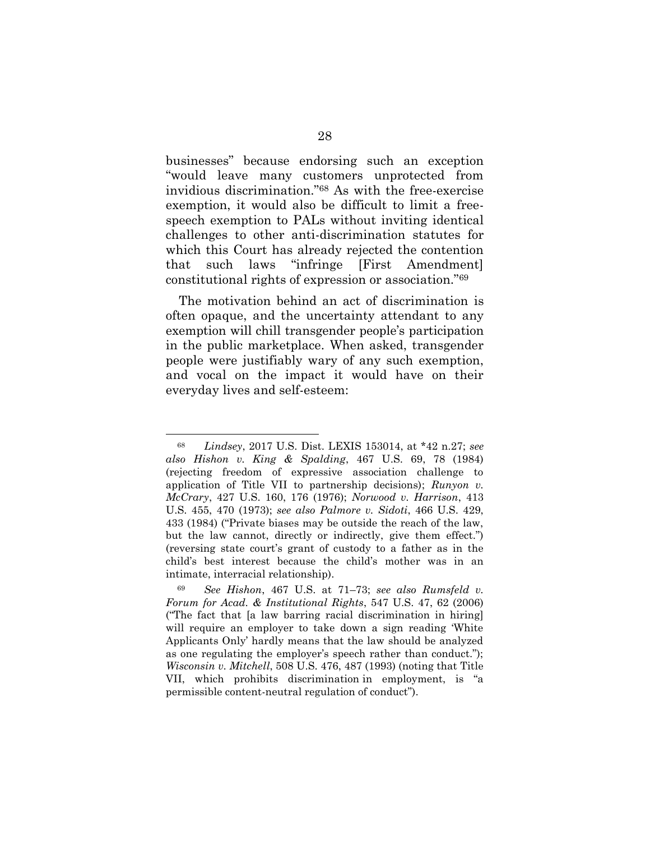businesses" because endorsing such an exception "would leave many customers unprotected from invidious discrimination."<sup>68</sup> As with the free-exercise exemption, it would also be difficult to limit a freespeech exemption to PALs without inviting identical challenges to other anti-discrimination statutes for which this Court has already rejected the contention that such laws "infringe [First Amendment] constitutional rights of expression or association."<sup>69</sup>

The motivation behind an act of discrimination is often opaque, and the uncertainty attendant to any exemption will chill transgender people's participation in the public marketplace. When asked, transgender people were justifiably wary of any such exemption, and vocal on the impact it would have on their everyday lives and self-esteem:

<span id="page-36-3"></span><span id="page-36-2"></span><span id="page-36-1"></span><span id="page-36-0"></span><sup>68</sup> *Lindsey*, 2017 U.S. Dist. LEXIS 153014, at \*42 n.27; *see also Hishon v. King & Spalding*, 467 U.S. 69, 78 (1984) (rejecting freedom of expressive association challenge to application of Title VII to partnership decisions); *Runyon v. McCrary*, 427 U.S. 160, 176 (1976); *Norwood v. Harrison*, 413 U.S. 455, 470 (1973); *see also Palmore v. Sidoti*, 466 U.S. 429, 433 (1984) ("Private biases may be outside the reach of the law, but the law cannot, directly or indirectly, give them effect.") (reversing state court's grant of custody to a father as in the child's best interest because the child's mother was in an intimate, interracial relationship).

<span id="page-36-4"></span><sup>69</sup> *See Hishon*, 467 U.S. at 71–73; *see also Rumsfeld v. Forum for Acad. & Institutional Rights*, 547 U.S. 47, 62 (2006) ("The fact that [a law barring racial discrimination in hiring] will require an employer to take down a sign reading 'White Applicants Only' hardly means that the law should be analyzed as one regulating the employer's speech rather than conduct."); *Wisconsin v. Mitchell*, 508 U.S. 476, 487 (1993) (noting that Title VII, which prohibits discrimination in employment, is "a permissible content-neutral regulation of conduct").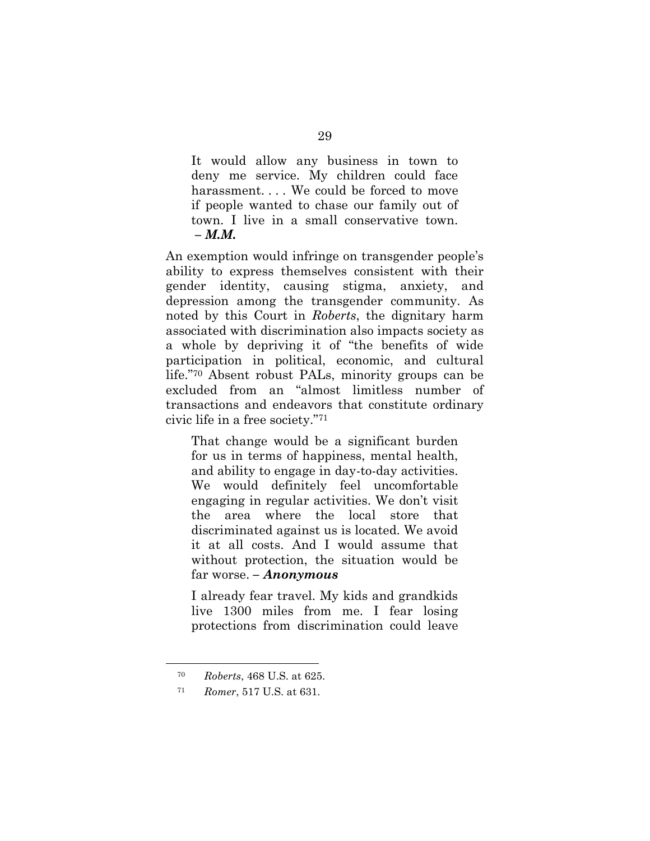It would allow any business in town to deny me service. My children could face harassment.... We could be forced to move if people wanted to chase our family out of town. I live in a small conservative town. *– M.M.*

An exemption would infringe on transgender people's ability to express themselves consistent with their gender identity, causing stigma, anxiety, and depression among the transgender community. As noted by this Court in *Roberts*, the dignitary harm associated with discrimination also impacts society as a whole by depriving it of "the benefits of wide participation in political, economic, and cultural life."<sup>70</sup> Absent robust PALs, minority groups can be excluded from an "almost limitless number of transactions and endeavors that constitute ordinary civic life in a free society."<sup>71</sup>

That change would be a significant burden for us in terms of happiness, mental health, and ability to engage in day-to-day activities. We would definitely feel uncomfortable engaging in regular activities. We don't visit the area where the local store that discriminated against us is located. We avoid it at all costs. And I would assume that without protection, the situation would be far worse. *– Anonymous*

I already fear travel. My kids and grandkids live 1300 miles from me. I fear losing protections from discrimination could leave

<sup>70</sup> *Roberts*, 468 U.S. at 625.

<span id="page-37-0"></span><sup>71</sup> *Romer*, 517 U.S. at 631.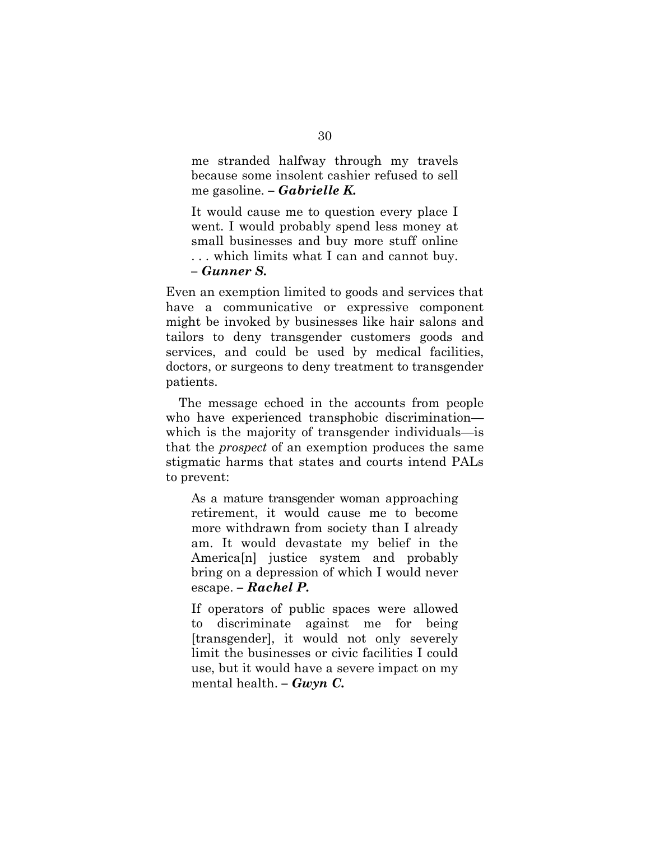me stranded halfway through my travels because some insolent cashier refused to sell me gasoline. *– Gabrielle K.*

It would cause me to question every place I went. I would probably spend less money at small businesses and buy more stuff online . . . which limits what I can and cannot buy. *– Gunner S.*

Even an exemption limited to goods and services that have a communicative or expressive component might be invoked by businesses like hair salons and tailors to deny transgender customers goods and services, and could be used by medical facilities, doctors, or surgeons to deny treatment to transgender patients.

The message echoed in the accounts from people who have experienced transphobic discrimination which is the majority of transgender individuals—is that the *prospect* of an exemption produces the same stigmatic harms that states and courts intend PALs to prevent:

As a mature transgender woman approaching retirement, it would cause me to become more withdrawn from society than I already am. It would devastate my belief in the America[n] justice system and probably bring on a depression of which I would never escape. *– Rachel P.*

If operators of public spaces were allowed to discriminate against me for being [transgender], it would not only severely limit the businesses or civic facilities I could use, but it would have a severe impact on my mental health. *– Gwyn C.*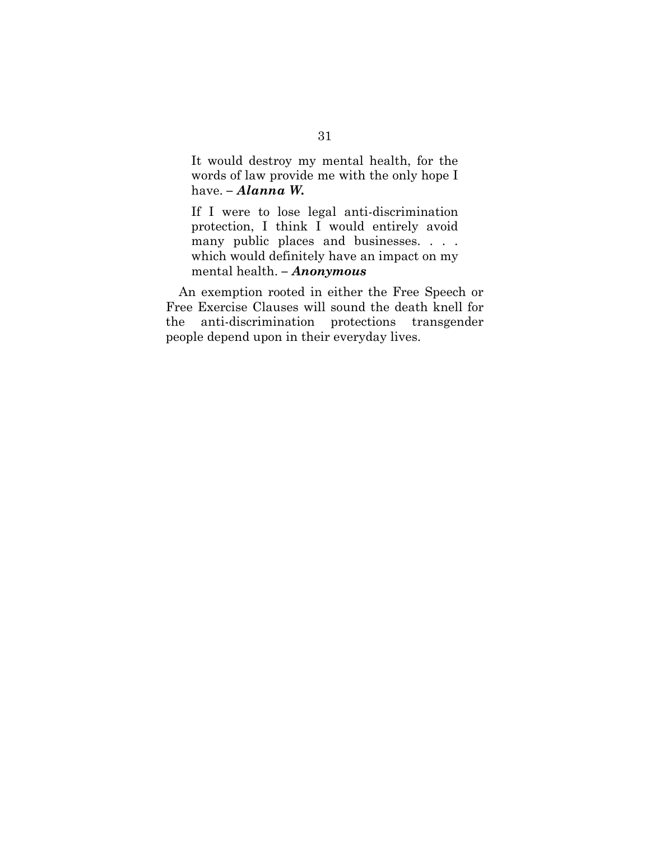It would destroy my mental health, for the words of law provide me with the only hope I have. *– Alanna W.*

If I were to lose legal anti-discrimination protection, I think I would entirely avoid many public places and businesses. . . . which would definitely have an impact on my mental health. *– Anonymous*

<span id="page-39-0"></span>An exemption rooted in either the Free Speech or Free Exercise Clauses will sound the death knell for the anti-discrimination protections transgender people depend upon in their everyday lives.